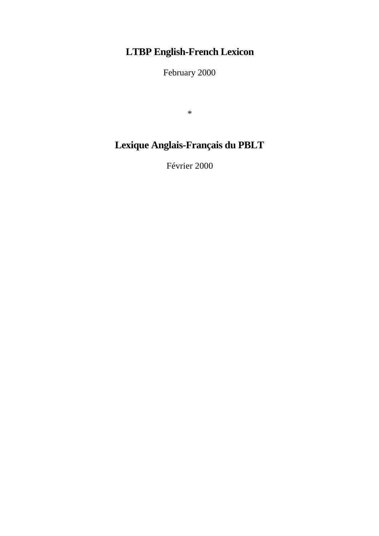# **LTBP English-French Lexicon**

February 2000

\*

# **Lexique Anglais-Français du PBLT**

Février 2000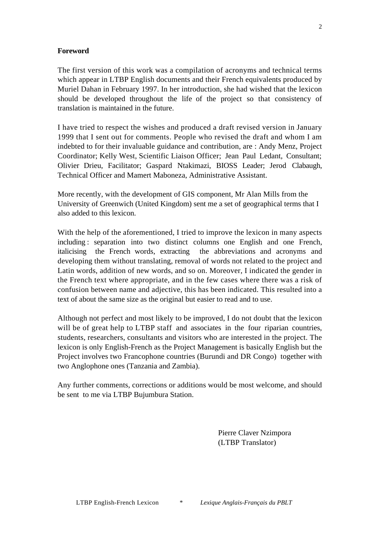#### **Foreword**

The first version of this work was a compilation of acronyms and technical terms which appear in LTBP English documents and their French equivalents produced by Muriel Dahan in February 1997. In her introduction, she had wished that the lexicon should be developed throughout the life of the project so that consistency of translation is maintained in the future.

I have tried to respect the wishes and produced a draft revised version in January 1999 that I sent out for comments. People who revised the draft and whom I am indebted to for their invaluable guidance and contribution, are : Andy Menz, Project Coordinator; Kelly West, Scientific Liaison Officer; Jean Paul Ledant, Consultant; Olivier Drieu, Facilitator; Gaspard Ntakimazi, BIOSS Leader; Jerod Clabaugh, Technical Officer and Mamert Maboneza, Administrative Assistant.

More recently, with the development of GIS component, Mr Alan Mills from the University of Greenwich (United Kingdom) sent me a set of geographical terms that I also added to this lexicon.

With the help of the aforementioned, I tried to improve the lexicon in many aspects including : separation into two distinct columns one English and one French, italicising the French words, extracting the abbreviations and acronyms and developing them without translating, removal of words not related to the project and Latin words, addition of new words, and so on. Moreover, I indicated the gender in the French text where appropriate, and in the few cases where there was a risk of confusion between name and adjective, this has been indicated. This resulted into a text of about the same size as the original but easier to read and to use.

Although not perfect and most likely to be improved, I do not doubt that the lexicon will be of great help to LTBP staff and associates in the four riparian countries, students, researchers, consultants and visitors who are interested in the project. The lexicon is only English-French as the Project Management is basically English but the Project involves two Francophone countries (Burundi and DR Congo) together with two Anglophone ones (Tanzania and Zambia).

Any further comments, corrections or additions would be most welcome, and should be sent to me via LTBP Bujumbura Station.

> Pierre Claver Nzimpora (LTBP Translator)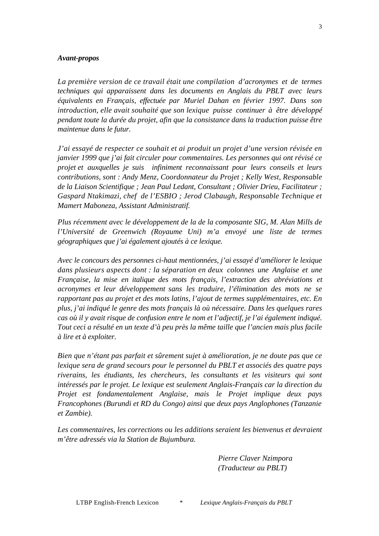#### *Avant-propos*

*La première version de ce travail était une compilation d'acronymes et de termes techniques qui apparaissent dans les documents en Anglais du PBLT avec leurs équivalents en Français, effectuée par Muriel Dahan en février 1997. Dans son introduction, elle avait souhaité que son lexique puisse continuer à être développé pendant toute la durée du projet, afin que la consistance dans la traduction puisse être maintenue dans le futur.*

*J'ai essayé de respecter ce souhait et ai produit un projet d'une version révisée en janvier 1999 que j'ai fait circuler pour commentaires. Les personnes qui ont révisé ce projet et auxquelles je suis infiniment reconnaissant pour leurs conseils et leurs contributions, sont : Andy Menz, Coordonnateur du Projet ; Kelly West, Responsable de la Liaison Scientifique ; Jean Paul Ledant, Consultant ; Olivier Drieu, Facilitateur ; Gaspard Ntakimazi, chef de l'ESBIO ; Jerod Clabaugh, Responsable Technique et Mamert Maboneza, Assistant Administratif.*

*Plus récemment avec le développement de la de la composante SIG, M. Alan Mills de l'Université de Greenwich (Royaume Uni) m'a envoyé une liste de termes géographiques que j'ai également ajoutés à ce lexique.*

*Avec le concours des personnes ci-haut mentionnées, j'ai essayé d'améliorer le lexique dans plusieurs aspects dont : la séparation en deux colonnes une Anglaise et une Française, la mise en italique des mots français, l'extraction des abréviations et acronymes et leur développement sans les traduire, l'élimination des mots ne se rapportant pas au projet et des mots latins, l'ajout de termes supplémentaires, etc. En plus, j'ai indiqué le genre des mots français là où nécessaire. Dans les quelques rares cas où il y avait risque de confusion entre le nom et l'adjectif, je l'ai également indiqué. Tout ceci a résulté en un texte d'à peu près la même taille que l'ancien mais plus facile à lire et à exploiter.*

*Bien que n'étant pas parfait et sûrement sujet à amélioration, je ne doute pas que ce lexique sera de grand secours pour le personnel du PBLT et associés des quatre pays riverains, les étudiants, les chercheurs, les consultants et les visiteurs qui sont intéressés par le projet. Le lexique est seulement Anglais-Français car la direction du Projet est fondamentalement Anglaise, mais le Projet implique deux pays Francophones (Burundi et RD du Congo) ainsi que deux pays Anglophones (Tanzanie et Zambie).*

*Les commentaires, les corrections ou les additions seraient les bienvenus et devraient m'être adressés via la Station de Bujumbura.*

> *Pierre Claver Nzimpora (Traducteur au PBLT)*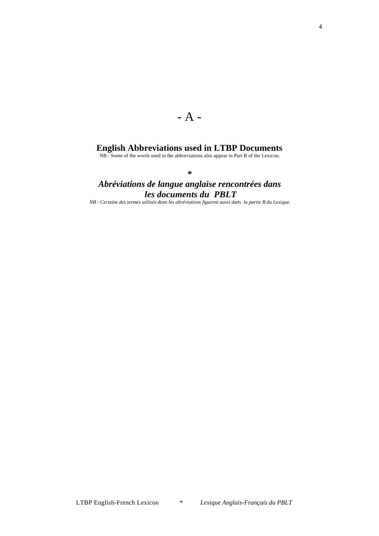### $- A -$

#### **English Abbreviations used in LTBP Documents**

NB : Some of the words used in the abbreviations also appear in Part B of the Lexicon.

**\***

#### *Abréviations de langue anglaise rencontrées dans les documents du PBLT*

*NB : Certains des termes utilisés dans les abréviations figurent aussi dans la partie B du Lexique.*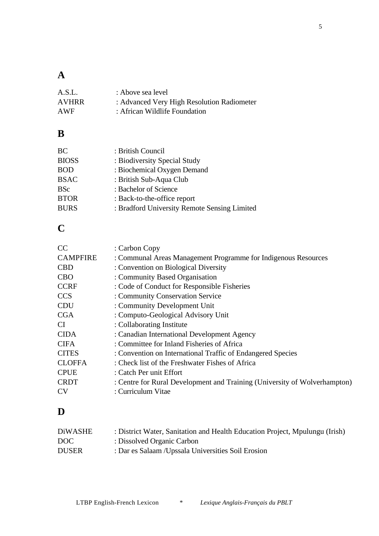### **A**

| A.S.L. | : Above sea level                          |
|--------|--------------------------------------------|
| AVHRR  | : Advanced Very High Resolution Radiometer |
| AWF    | : African Wildlife Foundation              |

#### **B**

| BC           | : British Council                            |
|--------------|----------------------------------------------|
| <b>BIOSS</b> | : Biodiversity Special Study                 |
| <b>BOD</b>   | : Biochemical Oxygen Demand                  |
| <b>BSAC</b>  | : British Sub-Aqua Club                      |
| <b>BSc</b>   | : Bachelor of Science                        |
| <b>BTOR</b>  | : Back-to-the-office report                  |
| <b>BURS</b>  | : Bradford University Remote Sensing Limited |

## **C**

| <b>CC</b>       | : Carbon Copy                                                             |
|-----------------|---------------------------------------------------------------------------|
| <b>CAMPFIRE</b> | : Communal Areas Management Programme for Indigenous Resources            |
| <b>CBD</b>      | : Convention on Biological Diversity                                      |
| <b>CBO</b>      | : Community Based Organisation                                            |
| <b>CCRF</b>     | : Code of Conduct for Responsible Fisheries                               |
| <b>CCS</b>      | : Community Conservation Service                                          |
| <b>CDU</b>      | : Community Development Unit                                              |
| <b>CGA</b>      | : Computo-Geological Advisory Unit                                        |
| <b>CI</b>       | : Collaborating Institute                                                 |
| <b>CIDA</b>     | : Canadian International Development Agency                               |
| <b>CIFA</b>     | : Committee for Inland Fisheries of Africa                                |
| <b>CITES</b>    | : Convention on International Traffic of Endangered Species               |
| <b>CLOFFA</b>   | : Check list of the Freshwater Fishes of Africa                           |
| <b>CPUE</b>     | : Catch Per unit Effort                                                   |
| <b>CRDT</b>     | : Centre for Rural Development and Training (University of Wolverhampton) |
| <b>CV</b>       | : Curriculum Vitae                                                        |
|                 |                                                                           |

## **D**

| DiWASHE          | : District Water, Sanitation and Health Education Project, Mpulungu (Irish) |
|------------------|-----------------------------------------------------------------------------|
| DOC <sub>1</sub> | : Dissolved Organic Carbon                                                  |
| <b>DUSER</b>     | : Dar es Salaam / Upssala Universities Soil Erosion                         |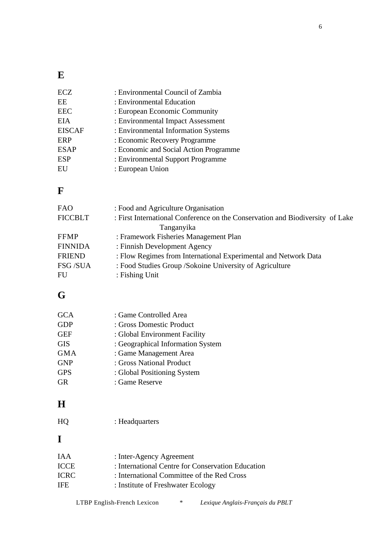#### **E**

| <b>ECZ</b>    | : Environmental Council of Zambia      |
|---------------|----------------------------------------|
| EE            | : Environmental Education              |
| <b>EEC</b>    | : European Economic Community          |
| <b>EIA</b>    | : Environmental Impact Assessment      |
| <b>EISCAF</b> | : Environmental Information Systems    |
| <b>ERP</b>    | : Economic Recovery Programme          |
| <b>ESAP</b>   | : Economic and Social Action Programme |
| <b>ESP</b>    | : Environmental Support Programme      |
| EU            | : European Union                       |

#### **F**

| <b>FAO</b>     | : Food and Agriculture Organisation                                           |
|----------------|-------------------------------------------------------------------------------|
| <b>FICCBLT</b> | : First International Conference on the Conservation and Biodiversity of Lake |
|                | Tanganyika                                                                    |
| <b>FFMP</b>    | : Framework Fisheries Management Plan                                         |
| <b>FINNIDA</b> | : Finnish Development Agency                                                  |
| <b>FRIEND</b>  | : Flow Regimes from International Experimental and Network Data               |
| FSG /SUA       | : Food Studies Group / Sokoine University of Agriculture                      |
| <b>FU</b>      | : Fishing Unit                                                                |
|                |                                                                               |

#### **G**

| <b>GCA</b> | : Game Controlled Area            |
|------------|-----------------------------------|
| <b>GDP</b> | : Gross Domestic Product          |
| <b>GEF</b> | : Global Environment Facility     |
| <b>GIS</b> | : Geographical Information System |
| <b>GMA</b> | : Game Management Area            |
| <b>GNP</b> | : Gross National Product          |
| <b>GPS</b> | : Global Positioning System       |
| GR         | : Game Reserve                    |

#### **H**

HQ : Headquarters

## **I**

| IA A | : Inter-Agency Agreement                          |
|------|---------------------------------------------------|
| ICCE | : International Centre for Conservation Education |
| ICRC | : International Committee of the Red Cross        |
| IFE  | : Institute of Freshwater Ecology                 |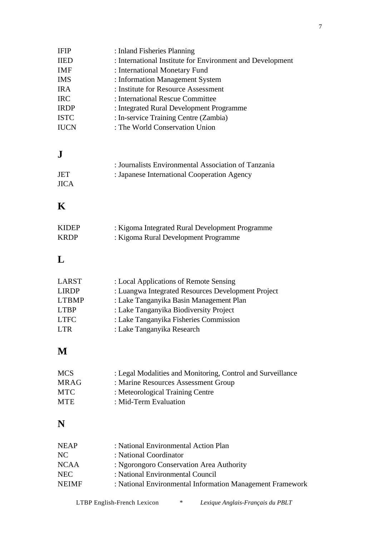| <b>IFIP</b>                 | : Inland Fisheries Planning                                                       |
|-----------------------------|-----------------------------------------------------------------------------------|
| <b>IIED</b>                 | : International Institute for Environment and Development                         |
| <b>IMF</b>                  | : International Monetary Fund                                                     |
| <b>IMS</b>                  | : Information Management System                                                   |
| <b>IRA</b>                  | : Institute for Resource Assessment                                               |
| <b>IRC</b>                  | : International Rescue Committee                                                  |
| <b>IRDP</b>                 | : Integrated Rural Development Programme                                          |
| <b>ISTC</b>                 | : In-service Training Centre (Zambia)                                             |
| <b>IUCN</b>                 | : The World Conservation Union                                                    |
|                             |                                                                                   |
| ${\bf J}$                   |                                                                                   |
|                             | : Journalists Environmental Association of Tanzania                               |
| <b>JET</b>                  | : Japanese International Cooperation Agency                                       |
| <b>JICA</b>                 |                                                                                   |
| K                           |                                                                                   |
| <b>KIDEP</b>                | : Kigoma Integrated Rural Development Programme                                   |
| <b>KRDP</b>                 | : Kigoma Rural Development Programme                                              |
| L                           |                                                                                   |
|                             |                                                                                   |
| <b>LARST</b>                | : Local Applications of Remote Sensing                                            |
| <b>LIRDP</b>                | : Luangwa Integrated Resources Development Project                                |
| <b>LTBMP</b><br><b>LTBP</b> | : Lake Tanganyika Basin Management Plan<br>: Lake Tanganyika Biodiversity Project |
| <b>LTFC</b>                 |                                                                                   |
| <b>LTR</b>                  | : Lake Tanganyika Fisheries Commission<br>: Lake Tanganyika Research              |
|                             |                                                                                   |
| M                           |                                                                                   |
| <b>MCS</b>                  | : Legal Modalities and Monitoring, Control and Surveillance                       |
| <b>MRAG</b>                 | : Marine Resources Assessment Group                                               |
| <b>MTC</b>                  | : Meteorological Training Centre                                                  |
| <b>MTE</b>                  | : Mid-Term Evaluation                                                             |
| N                           |                                                                                   |
| <b>NEAP</b>                 | : National Environmental Action Plan                                              |
|                             |                                                                                   |

| NEAP  | : National Environmental Action Plan                      |
|-------|-----------------------------------------------------------|
| NC.   | : National Coordinator                                    |
| NCAA  | : Ngorongoro Conservation Area Authority                  |
| NEC.  | : National Environmental Council                          |
| NEIMF | : National Environmental Information Management Framework |
|       |                                                           |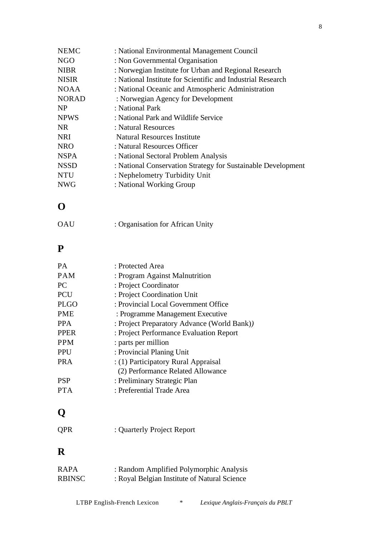| <b>NEMC</b>  | : National Environmental Management Council                  |
|--------------|--------------------------------------------------------------|
| NGO          | : Non Governmental Organisation                              |
| <b>NIBR</b>  | : Norwegian Institute for Urban and Regional Research        |
| NISIR        | : National Institute for Scientific and Industrial Research  |
| NOAA         | : National Oceanic and Atmospheric Administration            |
| <b>NORAD</b> | : Norwegian Agency for Development                           |
| NP           | : National Park                                              |
| <b>NPWS</b>  | : National Park and Wildlife Service                         |
| NR           | : Natural Resources                                          |
| NRI          | <b>Natural Resources Institute</b>                           |
| NRO          | : Natural Resources Officer                                  |
| NSPA         | : National Sectoral Problem Analysis                         |
| NSSD         | : National Conservation Strategy for Sustainable Development |
| NTU          | : Nephelometry Turbidity Unit                                |
| NWG          | : National Working Group                                     |

#### **O**

| OAU | : Organisation for African Unity |  |
|-----|----------------------------------|--|
|-----|----------------------------------|--|

#### **P**

| <b>PA</b>   | : Protected Area                            |
|-------------|---------------------------------------------|
| <b>PAM</b>  | : Program Against Malnutrition              |
| <b>PC</b>   | : Project Coordinator                       |
| <b>PCU</b>  | : Project Coordination Unit                 |
| <b>PLGO</b> | : Provincial Local Government Office        |
| <b>PME</b>  | : Programme Management Executive            |
| <b>PPA</b>  | : Project Preparatory Advance (World Bank)) |
| <b>PPER</b> | : Project Performance Evaluation Report     |
| <b>PPM</b>  | : parts per million                         |
| <b>PPU</b>  | : Provincial Planing Unit                   |
| <b>PRA</b>  | : (1) Participatory Rural Appraisal         |
|             | (2) Performance Related Allowance           |
| <b>PSP</b>  | : Preliminary Strategic Plan                |
| PT A        | : Preferential Trade Area                   |
|             |                                             |

# **Q**

QPR : Quarterly Project Report

## **R**

| RAPA   | : Random Amplified Polymorphic Analysis      |
|--------|----------------------------------------------|
| RBINSC | : Royal Belgian Institute of Natural Science |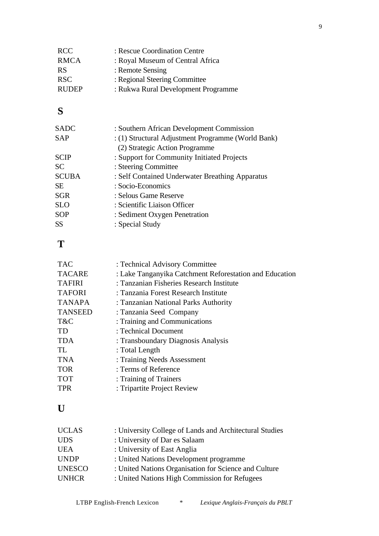| <b>RCC</b>   | : Rescue Coordination Centre        |
|--------------|-------------------------------------|
| <b>RMCA</b>  | : Royal Museum of Central Africa    |
| <b>RS</b>    | : Remote Sensing                    |
| <b>RSC</b>   | : Regional Steering Committee       |
| <b>RUDEP</b> | : Rukwa Rural Development Programme |
|              |                                     |

## **S**

| <b>SADC</b>  | : Southern African Development Commission          |
|--------------|----------------------------------------------------|
| <b>SAP</b>   | : (1) Structural Adjustment Programme (World Bank) |
|              | (2) Strategic Action Programme                     |
| <b>SCIP</b>  | : Support for Community Initiated Projects         |
| <b>SC</b>    | : Steering Committee                               |
| <b>SCUBA</b> | : Self Contained Underwater Breathing Apparatus    |
| <b>SE</b>    | : Socio-Economics                                  |
| <b>SGR</b>   | : Selous Game Reserve                              |
| <b>SLO</b>   | : Scientific Liaison Officer                       |
| <b>SOP</b>   | : Sediment Oxygen Penetration                      |
| <b>SS</b>    | : Special Study                                    |
|              |                                                    |

## **T**

| <b>TAC</b>     | : Technical Advisory Committee                          |
|----------------|---------------------------------------------------------|
| <b>TACARE</b>  | : Lake Tanganyika Catchment Reforestation and Education |
| <b>TAFIRI</b>  | : Tanzanian Fisheries Research Institute                |
| <b>TAFORI</b>  | : Tanzania Forest Research Institute                    |
| <b>TANAPA</b>  | : Tanzanian National Parks Authority                    |
| <b>TANSEED</b> | : Tanzania Seed Company                                 |
| T&C            | : Training and Communications                           |
| <b>TD</b>      | : Technical Document                                    |
| <b>TDA</b>     | : Transboundary Diagnosis Analysis                      |
| TL.            | : Total Length                                          |
| <b>TNA</b>     | : Training Needs Assessment                             |
| <b>TOR</b>     | : Terms of Reference                                    |
| <b>TOT</b>     | : Training of Trainers                                  |
| <b>TPR</b>     | : Tripartite Project Review                             |
|                |                                                         |

## **U**

| <b>UCLAS</b>  | : University College of Lands and Architectural Studies |
|---------------|---------------------------------------------------------|
| <b>UDS</b>    | : University of Dar es Salaam                           |
| <b>UEA</b>    | : University of East Anglia                             |
| <b>UNDP</b>   | : United Nations Development programme                  |
| <b>UNESCO</b> | : United Nations Organisation for Science and Culture   |
| <b>UNHCR</b>  | : United Nations High Commission for Refugees           |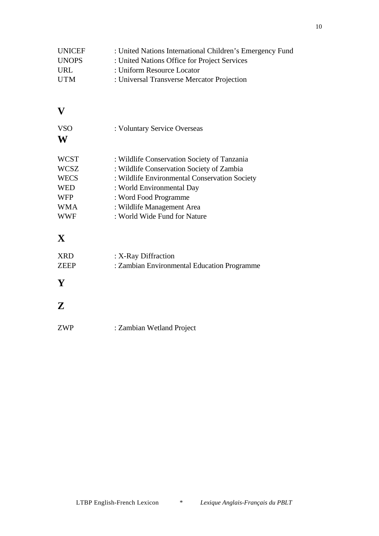| : United Nations International Children's Emergency Fund |
|----------------------------------------------------------|
| : United Nations Office for Project Services             |
| : Uniform Resource Locator                               |
| : Universal Transverse Mercator Projection               |
|                                                          |

#### **V**

| <b>VSO</b><br>W | : Voluntary Service Overseas                  |
|-----------------|-----------------------------------------------|
| <b>WCST</b>     | : Wildlife Conservation Society of Tanzania   |
| <b>WCSZ</b>     | : Wildlife Conservation Society of Zambia     |
| <b>WECS</b>     | : Wildlife Environmental Conservation Society |
| <b>WED</b>      | : World Environmental Day                     |
| <b>WFP</b>      | : Word Food Programme                         |
| <b>WMA</b>      | : Wildlife Management Area                    |
| <b>WWF</b>      | : World Wide Fund for Nature                  |

# **X**

| <b>XRD</b>  | : X-Ray Diffraction                         |
|-------------|---------------------------------------------|
| <b>ZEEP</b> | : Zambian Environmental Education Programme |

## **Y**

#### **Z**

| ZWP | : Zambian Wetland Project |  |
|-----|---------------------------|--|
|     |                           |  |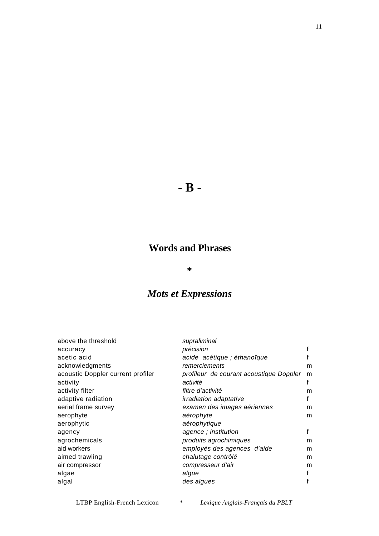# **- B -**

#### **Words and Phrases**

#### **\***

## *Mots et Expressions*

| supraliminal                            |   |
|-----------------------------------------|---|
| précision                               |   |
| acide acétique ; éthanoïque             |   |
| remerciements                           | m |
| profileur de courant acoustique Doppler | m |
| activité                                |   |
| filtre d'activité                       | m |
| <i>irradiation adaptative</i>           | f |
| examen des images aériennes             | m |
| aérophyte                               | m |
| aérophytique                            |   |
| agence; institution                     | f |
| produits agrochimiques                  | m |
| employés des agences d'aide             | m |
| chalutage contrôlé                      | m |
| compresseur d'air                       | m |
| algue                                   | f |
| des algues                              | f |
|                                         |   |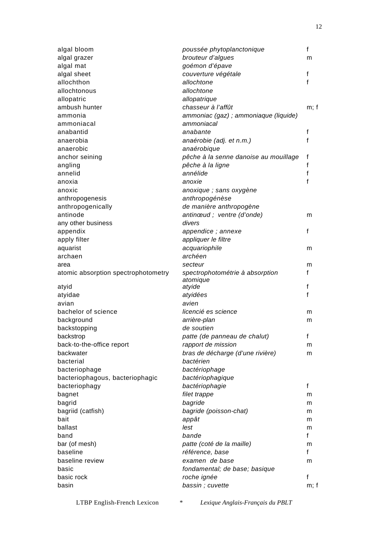| algal bloom                         | poussée phytoplanctonique                   | f    |
|-------------------------------------|---------------------------------------------|------|
| algal grazer                        | brouteur d'algues                           | m    |
| algal mat                           | goémon d'épave                              |      |
| algal sheet                         | couverture végétale                         | f    |
| allochthon                          | allochtone                                  | f    |
| allochtonous                        | allochtone                                  |      |
| allopatric                          | allopatrique                                |      |
| ambush hunter                       | chasseur à l'affût                          | m; f |
| ammonia                             | ammoniac (gaz) ; ammoniaque (liquide)       |      |
| ammoniacal                          | ammoniacal                                  |      |
| anabantid                           | anabante                                    | f    |
| anaerobia                           | anaérobie (adj. et n.m.)                    | f    |
| anaerobic                           | anaérobique                                 |      |
| anchor seining                      | pêche à la senne danoise au mouillage       | f    |
| angling                             | pêche à la ligne                            | f    |
| annelid                             | annélide                                    | f    |
| anoxia                              | anoxie                                      | f    |
| anoxic                              | anoxique ; sans oxygène                     |      |
| anthropogenesis                     | anthropogénèse                              |      |
| anthropogenically                   | de manière anthropogène                     |      |
| antinode                            | antinœud ; ventre (d'onde)                  | m    |
| any other business                  | divers                                      |      |
| appendix                            | appendice; annexe                           | f    |
| apply filter                        | appliquer le filtre                         |      |
| aquarist                            | acquariophile                               | m    |
| archaen                             | archéen                                     |      |
| area                                | secteur                                     | m    |
| atomic absorption spectrophotometry | spectrophotométrie à absorption<br>atomique | f    |
| atyid                               | atyide                                      | f    |
| atyidae                             | atyidées                                    | f    |
| avian                               | avien                                       |      |
| bachelor of science                 | licencié es science                         | m    |
| background                          | arrière-plan                                | m    |
| backstopping                        | de soutien                                  |      |
| backstrop                           | patte (de panneau de chalut)                | f    |
| back-to-the-office report           | rapport de mission                          | m    |
| backwater                           | bras de décharge (d'une rivière)            | m    |
| bacterial                           | bactérien                                   |      |
| bacteriophage                       | bactériophage                               |      |
| bacteriophagous, bacteriophagic     | bactériophagique                            |      |
| bacteriophagy                       | bactériophagie                              | f    |
| bagnet                              | filet trappe                                | m    |
| bagrid                              | bagride                                     | m    |
| bagriid (catfish)                   | bagride (poisson-chat)                      | m    |
| bait                                | appât                                       | m    |
| ballast                             | lest                                        | m    |
| band                                | bande                                       | f    |
| bar (of mesh)                       | patte (coté de la maille)                   | m    |
| baseline                            | référence, base                             | f    |
| baseline review                     | examen de base                              | m    |
| basic                               | fondamental; de base; basique               |      |
| basic rock                          | roche ignée                                 | f    |
| basin                               | bassin; cuvette                             | m; f |
|                                     |                                             |      |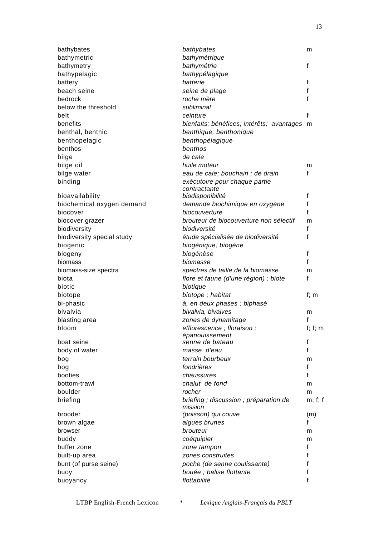| bathybates                    | bathybates                                        | m             |
|-------------------------------|---------------------------------------------------|---------------|
| bathymetric                   | bathymétrique                                     |               |
| bathymetry                    | bathymétrie                                       | f             |
| bathypelagic                  | bathypélagique                                    |               |
| battery                       | batterie                                          | f             |
| beach seine                   | seine de plage                                    | f             |
| bedrock                       | roche mère                                        | f             |
| below the threshold           | subliminal                                        |               |
| belt                          | ceinture                                          | f             |
| benefits                      | bienfaits; bénéfices; intérêts; avantages m       |               |
| benthal, benthic              | benthique, benthonique                            |               |
| benthopelagic                 | benthopélagique                                   |               |
| benthos                       | benthos                                           |               |
| bilge                         | de cale                                           |               |
| bilge oil                     | huile moteur                                      | m             |
| bilge water                   | eau de cale; bouchain ; de drain                  | f             |
| binding                       | exécutoire pour chaque partie                     |               |
|                               | contractante                                      |               |
| bioavailability               | biodisponibilité                                  | f<br>f        |
| biochemical oxygen demand     | demande biochimique en oxygène                    | f             |
| biocover                      | biocouverture                                     |               |
| biocover grazer               | brouteur de biocouverture non sélectif            | m             |
| biodiversity                  | biodiversité                                      | f<br>f        |
| biodiversity special study    | étude spécialisée de biodiversité                 |               |
| biogenic                      | biogénique, biogène                               |               |
| biogeny<br>biomass            | biogénèse<br>biomasse                             | f<br>f        |
|                               |                                                   |               |
| biomass-size spectra<br>biota | spectres de taille de la biomasse                 | m<br>f        |
| biotic                        | flore et faune (d'une région) ; biote             |               |
|                               | biotique                                          | f; $m$        |
| biotope                       | biotope; habitat                                  |               |
| bi-phasic<br>bivalvia         | à, en deux phases ; biphasé<br>bivalvia, bivalves |               |
| blasting area                 | zones de dynamitage                               | m<br>f        |
| bloom                         | efflorescence; floraison;                         | $f$ ; $f$ ; m |
|                               | épanouissement                                    |               |
| boat seine                    | senne de bateau                                   | f             |
| body of water                 | masse d'eau                                       | f             |
| bog                           | terrain bourbeux                                  | m             |
| bog                           | fondrières                                        | f             |
| booties                       | chaussures                                        | f             |
| bottom-trawl                  | chalut de fond                                    | m             |
| boulder                       | rocher                                            | m             |
| briefing                      | briefing; discussion; préparation de              | m; f; f       |
|                               | mission                                           |               |
| brooder                       | (poisson) qui couve                               | (m)           |
| brown algae                   | algues brunes                                     | f             |
| browser                       | brouteur                                          | m             |
| buddy                         | coéquipier                                        | m             |
| buffer zone                   | zone tampon                                       | f             |
| built-up area                 | zones construites                                 | f             |
| bunt (of purse seine)         | poche (de senne coulissante)                      | f             |
| buoy                          | bouée ; balise flottante                          | f             |
| buoyancy                      | flottabilité                                      | f             |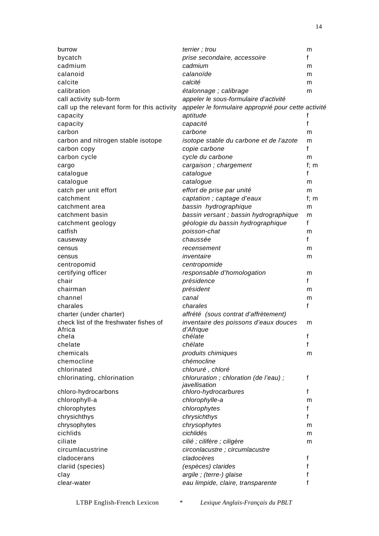| burrow                                      | terrier; trou                                       | m       |
|---------------------------------------------|-----------------------------------------------------|---------|
| bycatch                                     | prise secondaire, accessoire                        | f       |
| cadmium                                     | cadmium                                             | m       |
| calanoid                                    | calanoïde                                           | m       |
| calcite                                     | calcité                                             | m       |
| calibration                                 | étalonnage ; calibrage                              | m       |
| call activity sub-form                      | appeler le sous-formulaire d'activité               |         |
| call up the relevant form for this activity | appeler le formulaire approprié pour cette activité |         |
| capacity                                    | aptitude                                            | f       |
| capacity                                    | capacité                                            | f       |
| carbon                                      | carbone                                             | m       |
| carbon and nitrogen stable isotope          | isotope stable du carbone et de l'azote             | m       |
| carbon copy                                 | copie carbone                                       | f       |
| carbon cycle                                | cycle du carbone                                    | m       |
| cargo                                       | cargaison; chargement                               | $f$ ; m |
| catalogue                                   | catalogue                                           | f       |
| catalogue                                   | catalogue                                           | m       |
|                                             |                                                     |         |
| catch per unit effort<br>catchment          | effort de prise par unité                           | m       |
|                                             | captation ; captage d'eaux                          | f; $m$  |
| catchment area                              | bassin hydrographique                               | m       |
| catchment basin                             | bassin versant ; bassin hydrographique              | m       |
| catchment geology                           | géologie du bassin hydrographique                   | f       |
| catfish                                     | poisson-chat                                        | m       |
| causeway                                    | chaussée                                            | f       |
| census                                      | recensement                                         | m       |
| census                                      | inventaire                                          | m       |
| centropomid                                 | centropomide                                        |         |
| certifying officer                          | responsable d'homologation                          | m       |
| chair                                       | présidence                                          | f       |
| chairman                                    | président                                           | m       |
| channel                                     | canal                                               | m       |
| charales                                    | charales                                            | f       |
| charter (under charter)                     | affrété (sous contrat d'affrètement)                |         |
| check list of the freshwater fishes of      | inventaire des poissons d'eaux douces               | m       |
| Africa                                      | d'Afrigue                                           |         |
| chela                                       | chélate                                             | f       |
| chelate                                     | chélate                                             | f       |
| chemicals                                   | produits chimiques                                  | m       |
| chemocline                                  | chémocline                                          |         |
| chlorinated                                 | chloruré, chloré                                    |         |
| chlorinating, chlorination                  | chloruration; chloration (de l'eau);                | f       |
|                                             | javellisation                                       |         |
| chloro-hydrocarbons                         | chloro-hydrocarbures                                | f       |
| chlorophyll-a                               | chlorophylle-a                                      | m       |
| chlorophytes                                | chlorophytes                                        | f       |
| chrysichthys                                | chrysichthys                                        | f       |
| chrysophytes                                | chrysophytes                                        | m       |
| cichlids                                    | cichlidés                                           | m       |
| ciliate                                     | cilié ; cilifère ; ciligère                         | m       |
| circumlacustrine                            | circonlacustre; circumlacustre                      |         |
| cladocerans                                 | cladocères                                          | f       |
| clariid (species)                           | (espèces) clarides                                  | f       |
| clay                                        | argile; (terre-) glaise                             | f       |
| clear-water                                 | eau limpide, claire, transparente                   | f       |
|                                             |                                                     |         |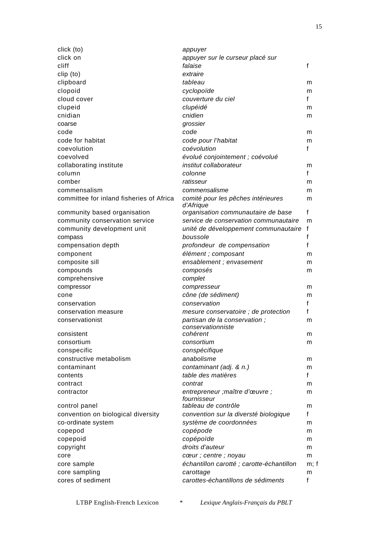| click (to)                               | appuyer                                   |              |
|------------------------------------------|-------------------------------------------|--------------|
| click on                                 | appuyer sur le curseur placé sur          |              |
| cliff                                    | falaise                                   | f            |
| clip (to)                                | extraire                                  |              |
| clipboard                                | tableau                                   | m            |
| clopoid                                  | cyclopoïde                                | m            |
| cloud cover                              | couverture du ciel                        | f            |
| clupeid                                  | clupéidé                                  | m            |
| cnidian                                  | cnidien                                   | m            |
| coarse                                   | grossier                                  |              |
| code                                     | code                                      | m            |
| code for habitat                         | code pour l'habitat                       | m            |
| coevolution                              | coévolution                               | f            |
| coevolved                                | évolué conjointement ; coévolué           |              |
| collaborating institute                  | institut collaborateur                    | m            |
| column                                   | colonne                                   | $\mathsf{f}$ |
| comber                                   | ratisseur                                 | m            |
| commensalism                             | commensalisme                             | m            |
| committee for inland fisheries of Africa | comité pour les pêches intérieures        | m            |
|                                          | d'Afrique                                 |              |
| community based organisation             | organisation communautaire de base        | $\mathbf{f}$ |
| community conservation service           | service de conservation communautaire     | m            |
| community development unit               | unité de développement communautaire      | f            |
| compass                                  | boussole                                  | f            |
| compensation depth                       | profondeur de compensation                | f            |
| component                                | élément ; composant                       | m            |
| composite sill                           | ensablement ; envasement                  | m            |
| compounds                                | composés                                  | m            |
| comprehensive                            | complet                                   |              |
| compressor                               | compresseur                               | m            |
| cone                                     | cône (de sédiment)                        | m            |
| conservation                             | conservation                              | f            |
| conservation measure                     | mesure conservatoire ; de protection      | f            |
| conservationist                          | partisan de la conservation;              | m            |
|                                          | conservationniste                         |              |
| consistent                               | cohérent                                  | m            |
| consortium                               | consortium                                | m            |
| conspecific                              | conspécifique                             |              |
| constructive metabolism                  | anabolisme                                | m            |
| contaminant                              | contaminant (adj. & n.)                   | m            |
| contents                                 | table des matières                        | f            |
| contract                                 | contrat                                   | m            |
| contractor                               | entrepreneur ; maître d'œuvre ;           | m            |
|                                          | fournisseur<br>tableau de contrôle        |              |
| control panel                            |                                           | m            |
| convention on biological diversity       | convention sur la diversté biologique     | $\mathsf{f}$ |
| co-ordinate system                       | système de coordonnées                    | m            |
| copepod                                  | copépode                                  | m            |
| copepoid                                 | copépoïde                                 | m            |
| copyright                                | droits d'auteur                           | m            |
| core                                     | cœur ; centre ; noyau                     | m            |
| core sample                              | échantillon carotté ; carotte-échantillon | m; f         |
| core sampling                            | carottage                                 | m            |
| cores of sediment                        | carottes-échantillons de sédiments        | f            |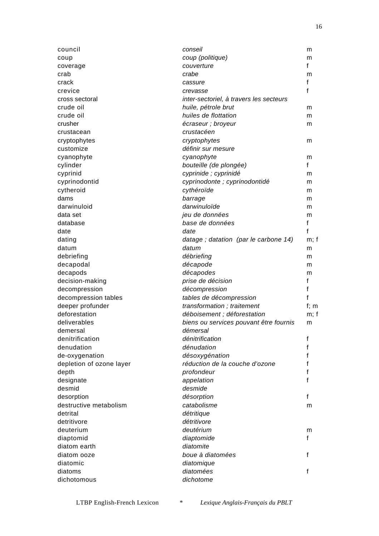| council                  | conseil                                       | m       |
|--------------------------|-----------------------------------------------|---------|
| coup                     | coup (politique)                              | m       |
| coverage                 | couverture                                    | f       |
| crab                     | crabe                                         | m       |
| crack                    | cassure                                       | f       |
| crevice                  | crevasse                                      | f       |
| cross sectoral           | inter-sectoriel, à travers les secteurs       |         |
| crude oil                | huile, pétrole brut                           | m       |
| crude oil                | huiles de flottation                          | m       |
| crusher                  | écraseur ; broyeur                            | m       |
| crustacean               | crustacéen                                    |         |
| cryptophytes             | cryptophytes                                  | m       |
| customize                | définir sur mesure                            |         |
| cyanophyte               | cyanophyte                                    | m       |
| cylinder                 | bouteille (de plongée)                        | f       |
| cyprinid                 | cyprinide ; cyprinidé                         | m       |
| cyprinodontid            | cyprinodonte ; cyprinodontidé                 | m       |
| cytheroid                | cythéroïde                                    | m       |
| dams                     | barrage                                       | m       |
| darwinuloid              | darwinuloïde                                  | m       |
| data set                 | jeu de données                                | m       |
| database                 | base de données                               | f       |
| date                     | date                                          | f       |
| dating                   |                                               |         |
| datum                    | datage; datation (par le carbone 14)<br>datum | m; f    |
|                          |                                               | m       |
| debriefing               | débriefing                                    | m       |
| decapodal                | décapode                                      | m       |
| decapods                 | décapodes                                     | m<br>f  |
| decision-making          | prise de décision                             |         |
| decompression            | décompression                                 | f       |
| decompression tables     | tables de décompression                       | f       |
| deeper profunder         | transformation; traitement                    | $f$ ; m |
| deforestation            | déboisement ; déforestation                   | m; f    |
| deliverables             | biens ou services pouvant être fournis        | m       |
| demersal                 | démersal                                      |         |
| denitrification          | dénitrification                               | f       |
| denudation               | dénudation                                    | f       |
| de-oxygenation           | désoxygénation                                | f       |
| depletion of ozone layer | réduction de la couche d'ozone                |         |
| depth                    | profondeur                                    |         |
| designate                | appelation                                    |         |
| desmid                   | desmide                                       |         |
| desorption               | désorption                                    | f       |
| destructive metabolism   | catabolisme                                   | m       |
| detrital                 | détritique                                    |         |
| detritivore              | détritivore                                   |         |
| deuterium                | deutérium                                     | m       |
| diaptomid                | diaptomide                                    | f       |
| diatom earth             | diatomite                                     |         |
| diatom ooze              | boue à diatomées                              | f       |
| diatomic                 | diatomique                                    |         |
| diatoms                  | diatomées                                     | f       |
| dichotomous              | dichotome                                     |         |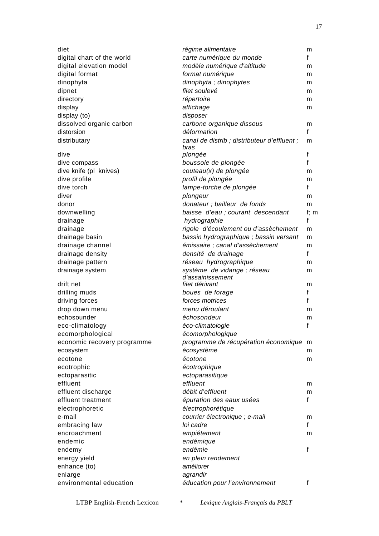| diet                               | régime alimentaire                                 | m       |
|------------------------------------|----------------------------------------------------|---------|
| digital chart of the world         | carte numérique du monde                           | f       |
| digital elevation model            | modèle numérique d'altitude                        | m       |
| digital format                     | format numérique                                   | m       |
| dinophyta                          | dinophyta; dinophytes                              | m       |
| dipnet                             | filet soulevé                                      | m       |
| directory                          | répertoire                                         | m       |
| display                            | affichage                                          | m       |
| display (to)                       | disposer                                           |         |
| dissolved organic carbon           | carbone organique dissous                          | m       |
| distorsion                         | déformation                                        | f       |
| distributary                       | canal de distrib; distributeur d'effluent;<br>bras | m       |
| dive                               | plongée                                            | f       |
| dive compass                       | boussole de plongée                                | f       |
| dive knife (pl knives)             | couteau(x) de plongée                              | m       |
| dive profile                       | profil de plongée                                  | m       |
| dive torch                         | lampe-torche de plongée                            | f       |
| diver                              | plongeur                                           | m       |
| donor                              | donateur ; bailleur de fonds                       | m       |
| downwelling                        | baisse d'eau ; courant descendant                  | $f$ ; m |
| drainage                           | hydrographie                                       | f       |
| drainage                           | rigole d'écoulement ou d'assèchement               | m       |
| drainage basin                     | bassin hydrographique ; bassin versant             | m       |
| drainage channel                   | émissaire ; canal d'assèchement                    | m       |
| drainage density                   | densité de drainage                                | f       |
| drainage pattern                   | réseau hydrographique                              | m       |
| drainage system                    | système de vidange ; réseau                        | m       |
|                                    | d'assainissement                                   |         |
| drift net                          | filet dérivant                                     | m       |
| drilling muds                      | boues de forage                                    | f       |
| driving forces                     | forces motrices                                    | f       |
| drop down menu                     | menu déroulant                                     | m       |
| echosounder                        | échosondeur                                        | m       |
| eco-climatology                    | éco-climatologie                                   | f       |
| ecomorphological                   | écomorphologique                                   |         |
| economic recovery programme        | programme de récupération économique m             |         |
| ecosystem                          | écosystème                                         | m       |
| ecotone                            | écotone                                            | m       |
| ecotrophic                         | écotrophique                                       |         |
| ectoparasitic                      | ectoparasitique                                    |         |
| effluent                           | effluent                                           | m       |
| effluent discharge                 | débit d'effluent                                   | m       |
| effluent treatment                 | épuration des eaux usées                           | f       |
| electrophoretic                    | électrophorétique                                  |         |
| e-mail                             | courrier électronique ; e-mail                     | m       |
| embracing law                      | loi cadre                                          | f       |
| encroachment                       | empiétement                                        | m       |
| endemic                            | endémique                                          |         |
| endemy                             | endémie                                            | f       |
| energy yield                       | en plein rendement                                 |         |
| enhance (to)                       | améliorer                                          |         |
| enlarge<br>environmental education | agrandir                                           |         |
|                                    | éducation pour l'environnement                     | f       |
|                                    |                                                    |         |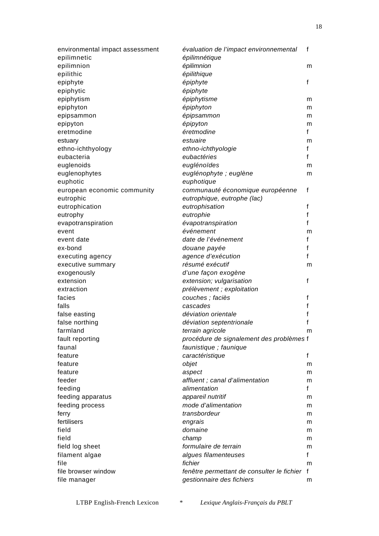| environmental impact assessment | évaluation de l'impact environnemental     | f           |
|---------------------------------|--------------------------------------------|-------------|
| epilimnetic                     | épilimnétique                              |             |
| epilimnion                      | épilimnion                                 | m           |
| epilithic                       | épilithique                                |             |
| epiphyte                        | épiphyte                                   | f           |
| epiphytic                       | épiphyte                                   |             |
| epiphytism                      | épiphytisme                                | m           |
| epiphyton                       | épiphyton                                  | m           |
| epipsammon                      | épipsammon                                 | m           |
| epipyton                        | épipyton                                   | m           |
| eretmodine                      | éretmodine                                 | f           |
| estuary                         | estuaire                                   | m           |
| ethno-ichthyology               | ethno-ichthyologie                         | f           |
| eubacteria                      | eubactéries                                | f           |
| euglenoids                      | euglénoïdes                                | m           |
| euglenophytes                   | euglénophyte ; euglène                     | m           |
| euphotic                        | euphotique                                 |             |
| european economic community     | communauté économique européenne           | f           |
| eutrophic                       | eutrophique, eutrophe (lac)                |             |
| eutrophication                  | eutrophisation                             | f           |
| eutrophy                        | eutrophie                                  | f           |
| evapotranspiration              | évapotranspiration                         | f           |
| event                           | événement                                  | m           |
| event date                      | date de l'événement                        | f           |
| ex-bond                         | douane payée                               | f           |
| executing agency                | agence d'exécution                         | f           |
| executive summary               | résumé exécutif                            | m           |
| exogenously                     | d'une façon exogène                        |             |
| extension                       | extension; vulgarisation                   | f           |
| extraction                      | prélèvement ; exploitation                 |             |
| facies                          | couches ; faciès                           | f           |
| falls                           | cascades                                   | f           |
| false easting                   | déviation orientale                        | f           |
| false northing                  | déviation septentrionale                   | f           |
| farmland                        | terrain agricole                           | m           |
| fault reporting                 | procédure de signalement des problèmes f   |             |
| faunal                          | faunistique ; faunique                     |             |
| feature                         | caractéristique                            | f           |
| feature                         | objet                                      | m           |
| feature                         | aspect                                     | m           |
| feeder                          | affluent; canal d'alimentation             | m           |
| feeding                         | alimentation                               | f           |
| feeding apparatus               | appareil nutritif                          | m           |
| feeding process                 | mode d'alimentation                        | m           |
| ferry                           | transbordeur                               | m           |
| fertilisers                     | engrais                                    | m           |
| field                           | domaine                                    | m           |
| field                           | champ                                      | m           |
| field log sheet                 | formulaire de terrain                      | m           |
| filament algae                  | algues filamenteuses                       | f           |
| file                            | fichier                                    | m           |
| file browser window             | fenêtre permettant de consulter le fichier | $\mathbf f$ |
| file manager                    | gestionnaire des fichiers                  | m           |
|                                 |                                            |             |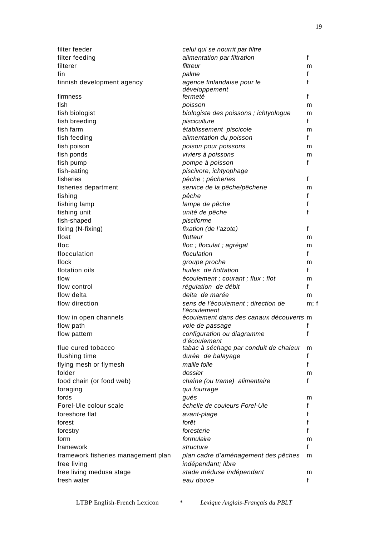| filter feeder                                      | celui qui se nourrit par filtre                           |      |
|----------------------------------------------------|-----------------------------------------------------------|------|
| filter feeding                                     | alimentation par filtration                               | f    |
| filterer                                           | filtreur                                                  | m    |
| fin                                                | palme                                                     | f    |
| finnish development agency                         | agence finlandaise pour le<br>développement               | f    |
| firmness                                           | fermeté                                                   | f    |
| fish                                               | poisson                                                   | m    |
| fish biologist                                     | biologiste des poissons ; ichtyologue                     | m    |
| fish breeding                                      | pisciculture                                              | f    |
| fish farm                                          | établissement piscicole                                   | m    |
| fish feeding                                       | alimentation du poisson                                   | f    |
| fish poison                                        | poison pour poissons                                      | m    |
| fish ponds                                         | viviers à poissons                                        | m    |
| fish pump                                          | pompe à poisson                                           | f    |
| fish-eating                                        | piscivore, ichtyophage                                    |      |
| fisheries                                          | pêche ; pêcheries                                         | f    |
| fisheries department                               | service de la pêche/pêcherie                              | m    |
| fishing                                            | pêche                                                     | f    |
|                                                    | lampe de pêche                                            | f    |
| fishing lamp                                       | unité de pêche                                            | f    |
| fishing unit                                       |                                                           |      |
| fish-shaped                                        | pisciforme                                                |      |
| fixing (N-fixing)                                  | fixation (de l'azote)                                     | f    |
| float                                              | flotteur                                                  | m    |
| floc                                               | floc; floculat; agrégat                                   | m    |
| flocculation                                       | floculation                                               | f    |
| flock                                              | groupe proche                                             | m    |
| flotation oils                                     | huiles de flottation                                      | f    |
| flow                                               | écoulement ; courant ; flux ; flot                        | m    |
| flow control                                       | régulation de débit                                       | f    |
| flow delta                                         | delta de marée                                            | m    |
| flow direction                                     | sens de l'écoulement ; direction de                       | m; f |
|                                                    | l'écoulement                                              |      |
| flow in open channels                              | écoulement dans des canaux découverts m                   |      |
| flow path                                          | voie de passage                                           | f    |
| flow pattern                                       | configuration ou diagramme<br>d'écoulement                | f    |
| flue cured tobacco                                 | tabac à séchage par conduit de chaleur                    | m    |
| flushing time                                      | durée de balayage                                         | f    |
| flying mesh or flymesh                             | maille folle                                              | f    |
| folder                                             | dossier                                                   | m    |
|                                                    | chaîne (ou trame) alimentaire                             | f    |
| food chain (or food web)                           | qui fourrage                                              |      |
| foraging<br>fords                                  |                                                           |      |
|                                                    | gués                                                      | m    |
| Forel-Ule colour scale                             | échelle de couleurs Forel-Ule                             | f    |
| foreshore flat                                     | avant-plage                                               | f    |
| forest                                             | forêt                                                     | f    |
| forestry                                           | foresterie                                                | f    |
| form                                               | formulaire                                                | m    |
| framework                                          | structure                                                 | f    |
| framework fisheries management plan<br>free living | plan cadre d'aménagement des pêches<br>indépendant; libre | m    |
| free living medusa stage                           | stade méduse indépendant                                  | m    |
| fresh water                                        | eau douce                                                 | f    |
|                                                    |                                                           |      |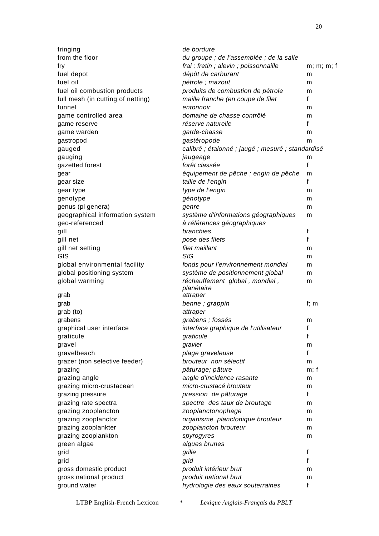| fringing                          | de bordure                                        |              |
|-----------------------------------|---------------------------------------------------|--------------|
| from the floor                    | du groupe ; de l'assemblée ; de la salle          |              |
| fry                               | frai ; fretin ; alevin ; poissonnaille            | m; m; m; f   |
| fuel depot                        | dépôt de carburant                                | m            |
| fuel oil                          | pétrole ; mazout                                  | m            |
| fuel oil combustion products      | produits de combustion de pétrole                 | m            |
| full mesh (in cutting of netting) | maille franche (en coupe de filet                 | $\mathsf{f}$ |
| funnel                            | entonnoir                                         | m            |
| game controlled area              | domaine de chasse contrôlé                        | m            |
| game reserve                      | réserve naturelle                                 | f            |
| game warden                       | garde-chasse                                      | m            |
| gastropod                         | gastéropode                                       | m            |
| gauged                            | calibré ; étalonné ; jaugé ; mesuré ; standardisé |              |
| gauging                           | jaugeage                                          | m            |
| gazetted forest                   | forêt classée                                     | f            |
| gear                              | équipement de pêche ; engin de pêche              | m            |
| gear size                         | taille de l'engin                                 | f            |
| gear type                         | type de l'engin                                   | m            |
| genotype                          | génotype                                          | m            |
| genus (pl genera)                 | genre                                             | m            |
| geographical information system   | système d'informations géographiques              | m            |
| geo-referenced                    | à références géographiques                        |              |
| gill                              | branchies                                         | f            |
| gill net                          | pose des filets                                   | f            |
| gill net setting                  | filet maillant                                    | m            |
| GIS                               | <b>SIG</b>                                        | m            |
| global environmental facility     | fonds pour l'environnement mondial                | m            |
| global positioning system         | système de positionnement global                  | m            |
| global warming                    | réchauffement global, mondial,<br>planétaire      | m            |
| grab                              | attraper                                          |              |
| grab                              | benne; grappin                                    | f; $m$       |
| grab (to)                         | attraper                                          |              |
| grabens                           | grabens; fossés                                   | m            |
| graphical user interface          | interface graphique de l'utilisateur              | f            |
| graticule                         | graticule                                         | f            |
| gravel                            | gravier                                           | m            |
| gravelbeach                       | plage graveleuse                                  | f            |
| grazer (non selective feeder)     | brouteur non sélectif                             | m            |
| grazing                           | pâturage; pâture                                  | m; f         |
| grazing angle                     | angle d'incidence rasante                         | m            |
| grazing micro-crustacean          | micro-crustacé brouteur                           | m            |
| grazing pressure                  | pression de pâturage                              | $\mathsf{f}$ |
| grazing rate spectra              | spectre des taux de broutage                      | m            |
| grazing zooplancton               | zooplanctonophage                                 | m            |
| grazing zooplanctor               | organisme planctonique brouteur                   | m            |
| grazing zooplankter               | zooplancton brouteur                              | m            |
| grazing zooplankton               | spyrogyres                                        | m            |
| green algae                       | algues brunes                                     |              |
| grid                              | grille                                            | f            |
| grid                              | grid                                              | f            |
| gross domestic product            | produit intérieur brut                            | m            |
| gross national product            | produit national brut                             | m            |
| ground water                      | hydrologie des eaux souterraines                  | f            |
|                                   |                                                   |              |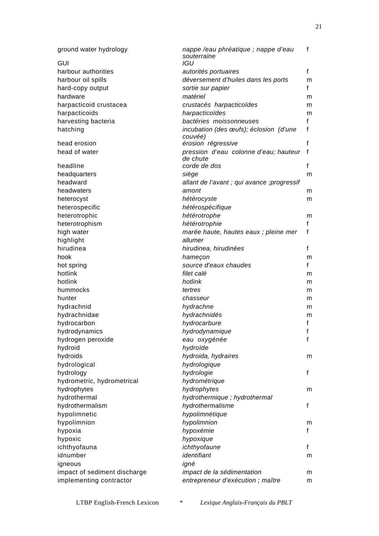| ground water hydrology       | nappe /eau phréatique ; nappe d'eau<br>souterraine | f                 |
|------------------------------|----------------------------------------------------|-------------------|
| <b>GUI</b>                   | IGU                                                |                   |
| harbour authorities          | autorités portuaires                               | $\mathsf{f}$      |
| harbour oil spills           | déversement d'huiles dans les ports                | m                 |
| hard-copy output             | sortie sur papier                                  | f                 |
| hardware                     | matériel                                           | m                 |
| harpacticoid crustacea       | crustacés harpacticoïdes                           | m                 |
| harpacticoids                | harpacticoïdes                                     | m                 |
| harvesting bacteria          | bactéries moissonneuses                            | $\mathsf{f}$      |
| hatching                     | incubation (des œufs); éclosion (d'une             | f                 |
|                              | couvée)                                            |                   |
| head erosion                 | érosion régressive                                 | f                 |
| head of water                | pression d'eau colonne d'eau; hauteur              | f                 |
| headline                     | de chute<br>corde de dos                           | $\mathsf{f}$      |
| headquarters                 | siège                                              | m                 |
| headward                     | allant de l'avant ; qui avance ; progressif        |                   |
| headwaters                   | amont                                              | m                 |
| heterocyst                   | hétérocyste                                        | m                 |
| heterospecific               | hétérospécifique                                   |                   |
| heterotrophic                | hétérotrophe                                       |                   |
| heterotrophism               | hétérotrophie                                      | m<br>$\mathsf{f}$ |
|                              |                                                    | f                 |
| high water<br>highlight      | marée haute, hautes eaux ; pleine mer<br>allumer   |                   |
| hirudinea                    | hirudinea, hirudinées                              | $\mathsf{f}$      |
| hook                         |                                                    |                   |
| hot spring                   | hameçon<br>source d'eaux chaudes                   | m<br>f            |
| hotlink                      | filet calé                                         |                   |
| hotlink                      | hotlink                                            | m                 |
| hummocks                     | tertres                                            | m                 |
| hunter                       | chasseur                                           | m                 |
| hydrachnid                   | hydrachne                                          | m                 |
| hydrachnidae                 | hydrachnidés                                       | m                 |
| hydrocarbon                  | hydrocarbure                                       | m<br>f            |
| hydrodynamics                | hydrodynamique                                     | f                 |
| hydrogen peroxide            | eau oxygénée                                       | $\mathsf{f}$      |
| hydroid                      | hydroïde                                           |                   |
| hydroids                     | hydroida, hydraires                                |                   |
| hydrological                 | hydrologique                                       | m                 |
| hydrology                    | hydrologie                                         | $\mathsf{f}$      |
| hydrometric, hydrometrical   | hydrométrique                                      |                   |
| hydrophytes                  | hydrophytes                                        | m                 |
| hydrothermal                 | hydrothermique ; hydrothermal                      |                   |
| hydrothermalism              | hydrothermalisme                                   | f                 |
| hypolimnetic                 | hypolimnétique                                     |                   |
| hypolimnion                  | hypolimnion                                        | m                 |
| hypoxia                      | hypoxémie                                          | f                 |
|                              | hypoxique                                          |                   |
| hypoxic<br>ichthyofauna      | ichthyofaune                                       | f                 |
| idnumber                     | identifiant                                        |                   |
|                              |                                                    | m                 |
| igneous                      | igné<br>impact de la sédimentation                 |                   |
| impact of sediment discharge |                                                    | m                 |
| implementing contractor      | entrepreneur d'exécution ; maître                  | m                 |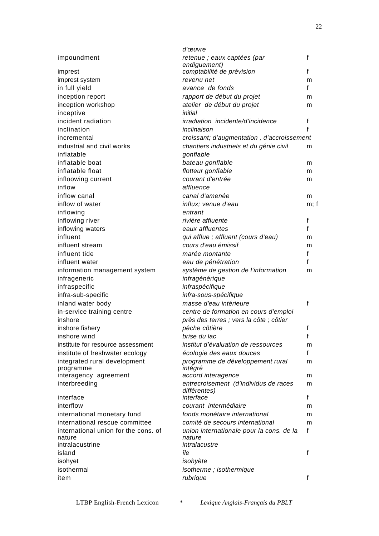|                                                               | d'œuvre                                                             |        |
|---------------------------------------------------------------|---------------------------------------------------------------------|--------|
| impoundment                                                   | retenue ; eaux captées (par<br>endiguement)                         | f      |
| imprest                                                       | comptabilité de prévision                                           | f      |
| imprest system                                                | revenu net                                                          | m      |
| in full yield                                                 | avance de fonds                                                     | f      |
| inception report                                              | rapport de début du projet                                          | m      |
| inception workshop                                            | atelier de début du projet                                          | m      |
| inceptive                                                     | initial                                                             |        |
| incident radiation                                            | irradiation incidente/d'incidence                                   | f      |
| inclination                                                   | inclinaison                                                         | f      |
| incremental                                                   | croissant; d'augmentation, d'accroissement                          |        |
| industrial and civil works                                    | chantiers industriels et du génie civil                             | m      |
| inflatable                                                    | gonflable                                                           |        |
| inflatable boat                                               | bateau gonflable                                                    | m      |
| inflatable float                                              | flotteur gonflable                                                  | m      |
| infloowing current                                            | courant d'entrée                                                    | m      |
| inflow                                                        | affluence                                                           |        |
| inflow canal                                                  | canal d'amenée                                                      | m      |
| inflow of water                                               | influx; venue d'eau                                                 | m; f   |
| inflowing                                                     | entrant                                                             |        |
| inflowing river                                               | rivière affluente                                                   | f      |
| inflowing waters                                              | eaux affluentes                                                     | f      |
| influent                                                      | qui afflue ; affluent (cours d'eau)                                 | m      |
| influent stream                                               | cours d'eau émissif                                                 | m      |
| influent tide                                                 | marée montante                                                      | f      |
| influent water                                                | eau de pénétration                                                  | f      |
| information management system                                 | système de gestion de l'information                                 | m      |
| infrageneric                                                  | infragénérique                                                      |        |
| infraspecific                                                 | infraspécifique                                                     |        |
| infra-sub-specific                                            | infra-sous-spécifique                                               |        |
| inland water body                                             | masse d'eau intérieure                                              | f      |
| in-service training centre                                    | centre de formation en cours d'emploi                               |        |
| inshore                                                       | près des terres ; vers la côte ; côtier                             |        |
| inshore fishery                                               | pêche côtière                                                       | f      |
| inshore wind                                                  | brise du lac                                                        | f      |
| institute for resource assessment                             | institut d'évaluation de ressources                                 | m      |
| institute of freshwater ecology                               | écologie des eaux douces                                            | f      |
| integrated rural development<br>programme                     | programme de développement rural<br>intégré                         | m      |
| interagency agreement                                         | accord interagence                                                  | m      |
| interbreeding<br>interface                                    | entrecroisement (d'individus de races<br>différentes)<br>interface  | m<br>f |
| interflow                                                     | courant intermédiaire                                               |        |
|                                                               | fonds monétaire international                                       | m      |
| international monetary fund<br>international rescue committee | comité de secours international                                     | m      |
| international union for the cons. of                          |                                                                     | m<br>f |
| nature<br>intralacustrine                                     | union internationale pour la cons. de la<br>nature<br>intralacustre |        |
| island                                                        | île                                                                 | f      |
| isohyet                                                       | isohyète                                                            |        |
| isothermal                                                    | isotherme; isothermique                                             |        |
| item                                                          | rubrique                                                            | f      |
|                                                               |                                                                     |        |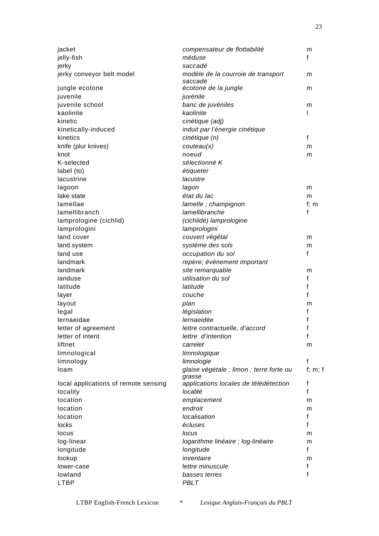| jacket                               | compensateur de flottabilité                       | m       |
|--------------------------------------|----------------------------------------------------|---------|
| jelly-fish                           | méduse                                             | f       |
| jerky                                | saccadé                                            |         |
| jerky conveyor belt model            | modèle de la courroie de transport<br>saccadé      | m       |
| jungle ecotone                       | écotone de la jungle                               | m       |
| juvenile                             | juvénile                                           |         |
| juvenile school                      | banc de juvéniles                                  | m       |
| kaolinite                            | kaolinite                                          |         |
| kinetic                              | cinétique (adj)                                    |         |
| kinetically-induced                  | induit par l'énergie cinétique                     |         |
| kinetics                             | cinétique (n)                                      | f       |
| knife (plur knives)                  | couteau(x)                                         | m       |
| knot                                 | noeud                                              | m       |
| K-selected                           | sélectionné K                                      |         |
| label (to)                           | étiqueter                                          |         |
| lacustrine                           | lacustre                                           |         |
| lagoon                               | lagon                                              | m       |
| lake state                           | état du lac                                        | m       |
| lamellae                             | lamelle ; champignon                               | $f$ ; m |
| lamellibranch                        | lamellibranche                                     | f       |
| lamprologine (cichlid)               | (cichlidé) lamprologine                            |         |
| lamprologini                         | lamprologini                                       |         |
| land cover                           | couvert végétal                                    | m       |
| land system                          | systéme des sols                                   | m       |
| land use                             | occupation du sol                                  | f       |
| landmark                             | repère; événement important                        |         |
| landmark                             | site remarquable                                   | m       |
| landuse                              | utilisation du sol                                 | f       |
| latitude                             | latitude                                           | f       |
| layer                                | couche                                             | f       |
| layout                               | plan                                               | m       |
| legal                                | législation                                        | f       |
| lernaeidae                           | lernaeidée                                         | f       |
| letter of agreement                  | lettre contractuelle, d'accord                     | f       |
| letter of intent                     | lettre d'intention                                 | f       |
| liftnet                              | carrelet                                           | m       |
| limnological                         | limnologique                                       |         |
| limnology                            | limnologie                                         | f       |
| loam                                 | glaise végétale ; limon ; terre forte ou<br>grasse | f; m; f |
| local applications of remote sensing | applications locales de télédétection              | f       |
| locality                             | localité                                           | f       |
| location                             | emplacement                                        | m       |
| location                             | endroit                                            | m       |
| location                             | localisation                                       | f       |
| locks                                | écluses                                            | f       |
| locus                                | locus                                              | m       |
| log-linear                           | logarithme linéaire ; log-linéaire                 | m       |
| longitude                            | longitude                                          | f       |
| lookup                               | inventaire                                         | m       |
| lower-case                           | lettre minuscule                                   | f       |
| lowland                              | basses terres                                      | f       |
| <b>LTBP</b>                          | PBLT                                               |         |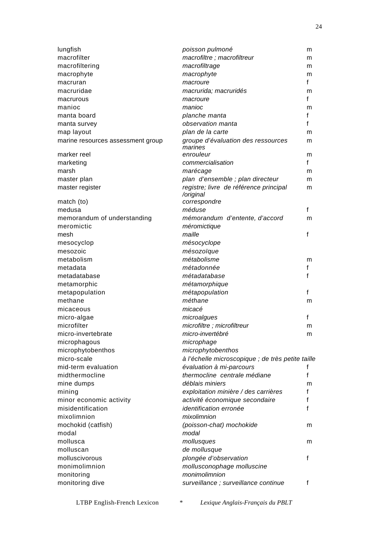| lungfish                          | poisson pulmoné                                     | m |
|-----------------------------------|-----------------------------------------------------|---|
| macrofilter                       | macrofiltre ; macrofiltreur                         | m |
| macrofiltering                    | macrofiltrage                                       | m |
| macrophyte                        | macrophyte                                          | m |
| macruran                          | macroure                                            | f |
| macruridae                        | macrurida; macruridés                               | m |
| macrurous                         | macroure                                            | f |
| manioc                            | manioc                                              | m |
| manta board                       | planche manta                                       | f |
| manta survey                      | observation manta                                   | f |
| map layout                        | plan de la carte                                    | m |
| marine resources assessment group | groupe d'évaluation des ressources<br>marines       | m |
| marker reel                       | enrouleur                                           | m |
| marketing                         | commercialisation                                   | f |
| marsh                             | marécage                                            | m |
| master plan                       | plan d'ensemble ; plan directeur                    | m |
| master register                   | registre; livre de référence principal<br>/original | m |
| match (to)                        | correspondre                                        |   |
| medusa                            | méduse                                              | f |
| memorandum of understanding       | mémorandum d'entente, d'accord                      | m |
| meromictic                        | méromictique                                        |   |
| mesh                              | maille                                              | f |
| mesocyclop                        | mésocyclope                                         |   |
| mesozoic                          | mésozoïque                                          |   |
| metabolism                        | métabolisme                                         | m |
| metadata                          | métadonnée                                          | f |
| metadatabase                      | métadatabase                                        | f |
| metamorphic                       | métamorphique                                       |   |
| metapopulation                    | métapopulation                                      | f |
| methane                           | méthane                                             | m |
| micaceous                         | micacé                                              |   |
| micro-algae                       | microalgues                                         | f |
| microfilter                       | microfiltre; microfiltreur                          | m |
| micro-invertebrate                | micro-invertébré                                    | m |
| microphagous                      | microphage                                          |   |
| microphytobenthos                 | microphytobenthos                                   |   |
| micro-scale                       | à l'échelle microscopique ; de très petite taille   |   |
| mid-term evaluation               | évaluation à mi-parcours                            | f |
| midthermocline                    | thermocline centrale médiane                        | f |
| mine dumps                        | déblais miniers                                     | m |
| mining                            | exploitation minière / des carrières                | f |
| minor economic activity           | activité économique secondaire                      | f |
| misidentification                 | identification erronée                              | f |
| mixolimnion                       | mixolimnion                                         |   |
| mochokid (catfish)                | (poisson-chat) mochokide                            | m |
| modal                             | modal                                               |   |
| mollusca                          | mollusques                                          | m |
| molluscan                         | de mollusque                                        |   |
| molluscivorous                    | plongée d'observation                               | f |
| monimolimnion                     | mollusconophage molluscine                          |   |
| monitoring                        | monimolimnion                                       |   |
| monitoring dive                   | surveillance ; surveillance continue                | f |
|                                   |                                                     |   |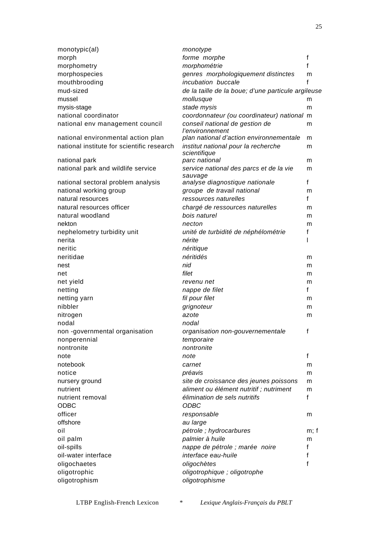| monotypic(al)                              | monotype                                                 |              |
|--------------------------------------------|----------------------------------------------------------|--------------|
| morph                                      | forme morphe                                             | f            |
| morphometry                                | morphométrie                                             | f            |
| morphospecies                              | genres morphologiquement distinctes                      | m            |
| mouthbrooding                              | incubation buccale                                       |              |
| mud-sized                                  | de la taille de la boue; d'une particule argileuse       |              |
| mussel                                     | mollusque                                                | m            |
| mysis-stage                                | stade mysis                                              | m            |
| national coordinator                       | coordonnateur (ou coordinateur) national                 | m            |
| national env management council            | conseil national de gestion de<br><i>l'environnement</i> | m            |
| national environmental action plan         | plan national d'action environnementale                  | m            |
| national institute for scientific research | institut national pour la recherche<br>scientifique      | m            |
| national park                              | parc national                                            | m            |
| national park and wildlife service         | service national des parcs et de la vie<br>sauvage       | m            |
| national sectoral problem analysis         | analyse diagnostique nationale                           | $\mathsf{f}$ |
| national working group                     | groupe de travail national                               | m            |
| natural resources                          | ressources naturelles                                    | $\mathsf{f}$ |
| natural resources officer                  | chargé de ressources naturelles                          | m            |
| natural woodland                           | bois naturel                                             | m            |
| nekton                                     | necton                                                   | m            |
| nephelometry turbidity unit                | unité de turbidité de néphélométrie                      | f            |
| nerita                                     | nérite                                                   |              |
| neritic                                    | néritique                                                |              |
| neritidae                                  | néritidés                                                | m            |
| nest                                       | nid                                                      | m            |
| net                                        | filet                                                    | m            |
| net yield                                  | revenu net                                               | m            |
| netting                                    | nappe de filet                                           | $\mathsf{f}$ |
| netting yarn                               | fil pour filet                                           | m            |
| nibbler                                    |                                                          |              |
|                                            | grignoteur                                               | m            |
| nitrogen                                   | azote                                                    | m            |
| nodal                                      | nodal                                                    |              |
| non -governmental organisation             | organisation non-gouvernementale                         | f            |
| nonperennial                               | temporaire                                               |              |
| nontronite                                 | nontronite                                               |              |
| note                                       | note                                                     | f            |
| notebook                                   | carnet                                                   | m            |
| notice                                     | préavis                                                  | m            |
| nursery ground                             | site de croissance des jeunes poissons                   | m            |
| nutrient                                   | aliment ou élément nutritif ; nutriment                  | m            |
| nutrient removal<br><b>ODBC</b>            | élimination de sels nutritifs<br><b>ODBC</b>             | $\mathsf{f}$ |
|                                            |                                                          |              |
| officer                                    | responsable                                              | m            |
| offshore                                   | au large                                                 |              |
| oil                                        | pétrole ; hydrocarbures                                  | m; f         |
| oil palm                                   | palmier à huile                                          | m            |
| oil-spills                                 | nappe de pétrole ; marée noire                           | f            |
| oil-water interface                        | interface eau-huile                                      | f            |
| oligochaetes                               | oligochètes                                              | f            |
| oligotrophic                               | oligotrophique ; oligotrophe                             |              |
| oligotrophism                              | oligotrophisme                                           |              |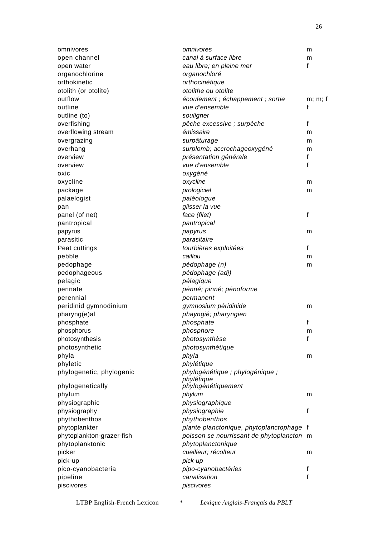| omnivores                 | omnivores                                 | m       |
|---------------------------|-------------------------------------------|---------|
| open channel              | canal à surface libre                     | m       |
| open water                | eau libre; en pleine mer                  | f       |
| organochlorine            | organochloré                              |         |
| orthokinetic              | orthocinétique                            |         |
| otolith (or otolite)      | otolithe ou otolite                       |         |
| outflow                   | écoulement ; échappement ; sortie         | m; m; f |
| outline                   | vue d'ensemble                            | f       |
| outline (to)              | souligner                                 |         |
| overfishing               | pêche excessive ; surpêche                | f       |
| overflowing stream        | émissaire                                 | m       |
| overgrazing               | surpâturage                               | m       |
| overhang                  | surplomb; accrochageoxygéné               | m       |
| overview                  | présentation générale                     | f       |
| overview                  | vue d'ensemble                            | f       |
| oxic                      | oxygéné                                   |         |
| oxycline                  | oxycline                                  | m       |
| package                   | prologiciel                               | m       |
| palaelogist               | paléologue                                |         |
| pan                       | glisser la vue                            |         |
| panel (of net)            | face (filet)                              | f       |
| pantropical               | pantropical                               |         |
| papyrus                   | papyrus                                   | m       |
| parasitic                 | parasitaire                               |         |
| Peat cuttings             | tourbières exploitées                     | f       |
| pebble                    | caillou                                   | m       |
|                           |                                           |         |
| pedophage                 | pédophage (n)<br>pédophage (adj)          | m       |
| pedophageous              |                                           |         |
| pelagic                   | pélagique                                 |         |
| pennate                   | pénné; pinné; pénoforme                   |         |
| perennial                 | permanent                                 |         |
| peridinid gymnodinium     | gymnosium péridinide                      | m       |
| pharyng(e)al              | phayngié; pharyngien                      |         |
| phosphate                 | phosphate                                 | f       |
| phosphorus                | phosphore                                 | m       |
| photosynthesis            | photosynthèse                             | f       |
| photosynthetic            | photosynthétique                          |         |
| phyla                     | phyla                                     | m       |
| phyletic                  | phylétique                                |         |
| phylogenetic, phylogenic  | phylogénétique ; phylogénique ;           |         |
| phylogenetically          | phylétique<br>phylogénétiquement          |         |
| phylum                    | phylum                                    | m       |
| physiographic             | physiographique                           |         |
| physiography              | physiographie                             | f       |
|                           | phythobenthos                             |         |
| phythobenthos             |                                           |         |
| phytoplankter             | plante planctonique, phytoplanctophage f  |         |
| phytoplankton-grazer-fish | poisson se nourrissant de phytoplancton m |         |
| phytoplanktonic           | phytoplanctonique                         |         |
| picker                    | cueilleur; récolteur                      | m       |
| pick-up                   | pick-up                                   |         |
| pico-cyanobacteria        | pipo-cyanobactéries                       | f       |
| pipeline                  | canalisation                              | f       |
| piscivores                | piscivores                                |         |
|                           |                                           |         |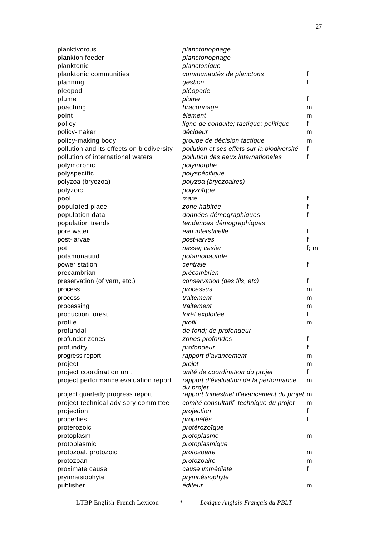| planktivorous                             | planctonophage                                      |         |
|-------------------------------------------|-----------------------------------------------------|---------|
| plankton feeder                           | planctonophage                                      |         |
| planktonic                                | planctonique                                        |         |
| planktonic communities                    | communautés de planctons                            | f       |
| planning                                  | gestion                                             | f       |
| pleopod                                   | pléopode                                            |         |
| plume                                     | plume                                               | f       |
| poaching                                  | braconnage                                          | m       |
| point                                     | élément                                             | m       |
| policy                                    | ligne de conduite; tactique; politique              | f       |
| policy-maker                              | décideur                                            | m       |
| policy-making body                        | groupe de décision tactique                         | m       |
| pollution and its effects on biodiversity | pollution et ses effets sur la biodiversité         | f       |
| pollution of international waters         | pollution des eaux internationales                  | f       |
| polymorphic                               | polymorphe                                          |         |
| polyspecific                              | polyspécifique                                      |         |
| polyzoa (bryozoa)                         | polyzoa (bryozoaires)                               |         |
| polyzoic                                  | polyzoïque                                          |         |
| pool                                      | mare                                                | f       |
| populated place                           | zone habitée                                        | f       |
| population data                           | données démographiques                              | f       |
| population trends                         | tendances démographiques                            |         |
| pore water                                | eau interstitielle                                  | f       |
| post-larvae                               | post-larves                                         | f       |
| pot                                       | nasse; casier                                       | $f$ ; m |
| potamonautid                              | potamonautide                                       |         |
| power station                             | centrale                                            | f       |
| precambrian                               | précambrien                                         |         |
| preservation (of yarn, etc.)              | conservation (des fils, etc)                        | f       |
| process                                   | processus                                           | m       |
| process                                   | traitement                                          | m       |
| processing                                | traitement                                          | m       |
| production forest                         | forêt exploitée                                     | f       |
| profile                                   | profil                                              | m       |
| profundal                                 | de fond; de profondeur                              |         |
| profunder zones                           | zones profondes                                     | f       |
| profundity                                | profondeur                                          | f       |
| progress report                           | rapport d'avancement                                | m       |
| project                                   | projet                                              | m       |
| project coordination unit                 | unité de coordination du projet                     | f       |
| project performance evaluation report     | rapport d'évaluation de la performance<br>du projet | m       |
| project quarterly progress report         | rapport trimestriel d'avancement du projet m        |         |
| project technical advisory committee      | comité consultatif technique du projet              | m       |
| projection                                | projection                                          | f       |
| properties                                | propriétés                                          | f       |
| proterozoic                               | protérozoïque                                       |         |
| protoplasm                                | protoplasme                                         | m       |
| protoplasmic                              | protoplasmique                                      |         |
| protozoal, protozoic                      | protozoaire                                         | m       |
| protozoan                                 | protozoaire                                         | m       |
| proximate cause                           | cause immédiate                                     | f       |
| prymnesiophyte                            | prymnésiophyte                                      |         |
| publisher                                 | éditeur                                             | m       |
|                                           |                                                     |         |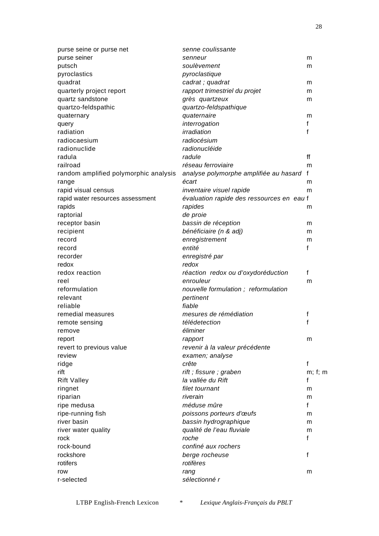| purse seine or purse net              | senne coulissante                         |         |
|---------------------------------------|-------------------------------------------|---------|
| purse seiner                          | senneur                                   | m       |
| putsch                                | soulèvement                               | m       |
| pyroclastics                          | pyroclastique                             |         |
| quadrat                               | cadrat; quadrat                           | m       |
| quarterly project report              | rapport trimestriel du projet             | m       |
| quartz sandstone                      | grès quartzeux                            | m       |
| quartzo-feldspathic                   | quartzo-feldspathique                     |         |
| quaternary                            | quaternaire                               | m       |
| query                                 | interrogation                             | f       |
| radiation                             | irradiation                               | f       |
| radiocaesium                          | radiocésium                               |         |
| radionuclide                          | radionucléide                             |         |
| radula                                | radule                                    | ff      |
| railroad                              | réseau ferroviaire                        | m       |
| random amplified polymorphic analysis | analyse polymorphe amplifiée au hasard    | f       |
| range                                 | écart                                     | m       |
| rapid visual census                   | inventaire visuel rapide                  | m       |
| rapid water resources assessment      | évaluation rapide des ressources en eau f |         |
| rapids                                | rapides                                   | m       |
| raptorial                             | de proie                                  |         |
| receptor basin                        | bassin de réception                       | m       |
| recipient                             | bénéficiaire (n & adj)                    | m       |
| record                                | enregistrement                            | m       |
| record                                | entité                                    | f       |
| recorder                              | enregistré par                            |         |
| redox                                 | redox                                     |         |
| redox reaction                        | réaction redox ou d'oxydoréduction        | f       |
| reel                                  | enrouleur                                 | m       |
| reformulation                         | nouvelle formulation; reformulation       |         |
| relevant                              | pertinent                                 |         |
| reliable                              | fiable                                    |         |
| remedial measures                     | mesures de rémédiation                    | f       |
| remote sensing                        | télédetection                             | f       |
| remove                                | éliminer                                  |         |
| report                                | rapport                                   | m       |
| revert to previous value              | revenir à la valeur précédente            |         |
| review                                | examen; analyse                           |         |
| ridge                                 | crête                                     | f       |
| rift                                  | rift; fissure; graben                     | m; f; m |
| <b>Rift Valley</b>                    | la vallée du Rift                         | f       |
| ringnet                               | filet tournant                            | m       |
| riparian                              | riverain                                  | m       |
| ripe medusa                           | méduse mûre                               | f       |
| ripe-running fish                     | poissons porteurs d'œufs                  |         |
| river basin                           | bassin hydrographique                     | m       |
|                                       | qualité de l'eau fluviale                 | m       |
| river water quality<br>rock           | roche                                     | m<br>f  |
|                                       |                                           |         |
| rock-bound                            | confiné aux rochers                       |         |
| rockshore                             | berge rocheuse                            | f       |
| rotifers                              | rotifères                                 |         |
| row                                   | rang                                      | m       |
| r-selected                            | sélectionné r                             |         |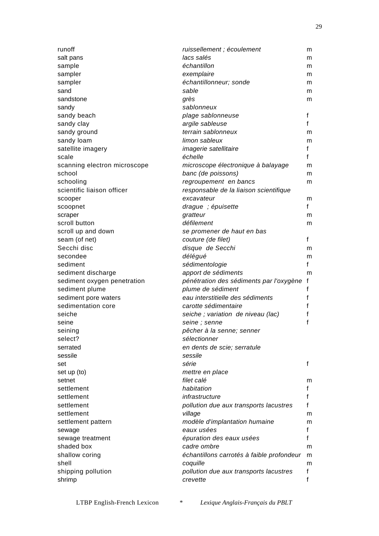| runoff                       | ruissellement ; écoulement                | m            |
|------------------------------|-------------------------------------------|--------------|
| salt pans                    | lacs salés                                | m            |
| sample                       | échantillon                               | m            |
| sampler                      | exemplaire                                | m            |
| sampler                      | échantillonneur; sonde                    | m            |
| sand                         | sable                                     | m            |
| sandstone                    | grès                                      | m            |
| sandy                        | sablonneux                                |              |
| sandy beach                  | plage sablonneuse                         | f            |
| sandy clay                   | argile sableuse                           | $\mathsf{f}$ |
| sandy ground                 | terrain sablonneux                        | m            |
| sandy loam                   | limon sableux                             | m            |
| satellite imagery            | imagerie satellitaire                     | f            |
| scale                        | échelle                                   | f            |
| scanning electron microscope | microscope électronique à balayage        | m            |
| school                       | banc (de poissons)                        | m            |
| schooling                    |                                           | m            |
| scientific liaison officer   | regroupement en bancs                     |              |
|                              | responsable de la liaison scientifique    |              |
| scooper                      | excavateur                                | m            |
| scoopnet                     | drague ; épuisette                        | f            |
| scraper                      | gratteur                                  | m            |
| scroll button                | défilement                                | m            |
| scroll up and down           | se promener de haut en bas                |              |
| seam (of net)                | couture (de filet)                        | f            |
| Secchi disc                  | disque de Secchi                          | m            |
| secondee                     | délégué                                   | m            |
| sediment                     | sédimentologie                            | $\mathsf{f}$ |
| sediment discharge           | apport de sédiments                       | m            |
| sediment oxygen penetration  | pénétration des sédiments par l'oxygène   | f            |
| sediment plume               | plume de sédiment                         | f            |
| sediment pore waters         | eau interstitielle des sédiments          | f            |
| sedimentation core           | carotte sédimentaire                      | f            |
| seiche                       | seiche ; variation de niveau (lac)        | f            |
| seine                        | seine ; senne                             | f            |
| seining                      | pêcher à la senne; senner                 |              |
| select?                      | sélectionner                              |              |
| serrated                     | en dents de scie; serratule               |              |
| sessile                      | sessile                                   |              |
| set                          | série                                     | f            |
| set up (to)                  | mettre en place                           |              |
| setnet                       | filet calé                                | m            |
| settlement                   | habitation                                | f            |
| settlement                   | infrastructure                            | f            |
| settlement                   | pollution due aux transports lacustres    | f            |
| settlement                   | village                                   | m            |
| settlement pattern           | modèle d'implantation humaine             | m            |
| sewage                       | eaux usées                                | f            |
| sewage treatment             | épuration des eaux usées                  | f            |
| shaded box                   | cadre ombre                               | m            |
| shallow coring               | échantillons carrotés à faible profondeur | m            |
| shell                        | coquille                                  | m            |
| shipping pollution           | pollution due aux transports lacustres    | f            |
| shrimp                       | crevette                                  | f            |
|                              |                                           |              |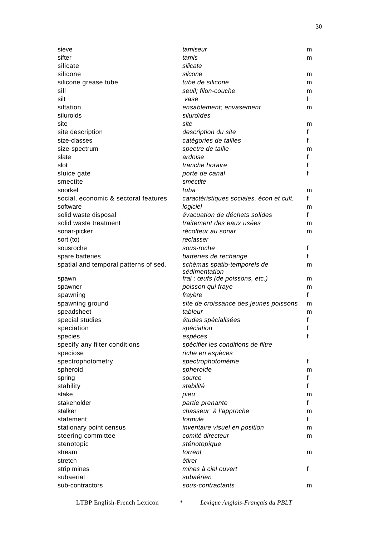| sieve                                 | tamiseur                                     | m |
|---------------------------------------|----------------------------------------------|---|
| sifter                                | tamis                                        | m |
| silicate                              | silicate                                     |   |
| silicone                              | silcone                                      | m |
| silicone grease tube                  | tube de silicone                             | m |
| sill                                  | seuil; filon-couche                          | m |
| silt                                  | vase                                         | L |
| siltation                             | ensablement; envasement                      | m |
| siluroids                             | siluroïdes                                   |   |
| site                                  | site                                         | m |
| site description                      | description du site                          | f |
| size-classes                          | catégories de tailles                        | f |
| size-spectrum                         | spectre de taille                            | m |
| slate                                 | ardoise                                      | f |
| slot                                  | tranche horaire                              | f |
| sluice gate                           | porte de canal                               | f |
| smectite                              | smectite                                     |   |
| snorkel                               | tuba                                         | m |
| social, economic & sectoral features  | caractéristiques sociales, écon et cult.     | f |
| software                              | logiciel                                     | m |
| solid waste disposal                  | évacuation de déchets solides                | f |
| solid waste treatment                 | traitement des eaux usées                    |   |
|                                       |                                              | m |
| sonar-picker                          | récolteur au sonar                           | m |
| sort (to)                             | reclasser                                    |   |
| sousroche                             | sous-roche                                   | f |
| spare batteries                       | batteries de rechange                        | f |
| spatial and temporal patterns of sed. | schémas spatio-temporels de<br>sédimentation | m |
| spawn                                 | frai ; œufs (de poissons, etc.)              | m |
| spawner                               | poisson qui fraye                            | m |
| spawning                              | frayère                                      | f |
| spawning ground                       | site de croissance des jeunes poissons       | m |
| speadsheet                            | tableur                                      | m |
| special studies                       | études spécialisées                          | f |
| speciation                            | spéciation                                   | f |
| species                               | espèces                                      | f |
| specify any filter conditions         | spécifier les conditions de filtre           |   |
| speciose                              | riche en espèces                             |   |
| spectrophotometry                     | spectrophotométrie                           | f |
| spheroid                              | spheroide                                    | m |
| spring                                | source                                       | f |
| stability                             | stabilité                                    | f |
| stake                                 | pieu                                         | m |
| stakeholder                           | partie prenante                              | f |
| stalker                               | chasseur à l'approche                        | m |
| statement                             | formule                                      | f |
| stationary point census               | inventaire visuel en position                | m |
| steering committee                    | comité directeur                             | m |
| stenotopic                            | sténotopique                                 |   |
| stream                                | torrent                                      | m |
| stretch                               | étirer                                       |   |
| strip mines                           | mines à ciel ouvert                          | f |
| subaerial                             | subaérien                                    |   |
| sub-contractors                       | sous-contractants                            | m |
|                                       |                                              |   |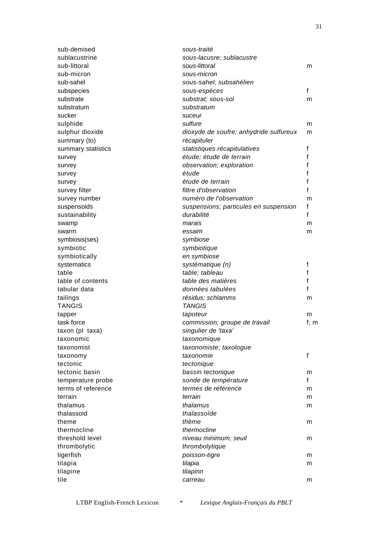| sub-demised        | sous-traité                            |        |
|--------------------|----------------------------------------|--------|
| sublacustrine      | sous-lacusre; sublacustre              |        |
| sub-littoral       | sous-littoral                          | m      |
| sub-micron         | sous-micron                            |        |
| sub-sahel          | sous-sahel; subsahélien                |        |
| subspecies         | sous-espèces                           | f      |
| substrate          | substrat; sous-sol                     | m      |
| substratum         | substratum                             |        |
| sucker             | suceur                                 |        |
| sulphide           | sulfure                                | m      |
| sulphur dioxide    | dioxyde de soufre; anhydride sulfureux | m      |
| summary (to)       | récapituler                            |        |
| summary statistics | statistiques récapitulatives           | f      |
| survey             | étude; étude de terrain                | f      |
| survey             | observation; exploration               | f      |
| survey             | étude                                  |        |
| survey             | étude de terrain                       |        |
| survey filter      | filtre d'observation                   | f      |
| survey number      | numéro de l'observation                | m      |
| suspensoids        | suspensions; particules en suspension  | f      |
| sustainability     | durabilité                             | f      |
| swamp              | marais                                 | m      |
| swarm              | essaim                                 | m      |
|                    |                                        |        |
| symbiosis(ses)     | symbiose                               |        |
| symbiotic          | symbiotique                            |        |
| symbiotically      | en symbiose                            |        |
| systematics        | systématique (n)                       | f      |
| table              | table; tableau                         | f      |
| table of contents  | table des matières                     | f      |
| tabular data       | données tabulées                       | f      |
| tailings           | résidus; schlamms                      | m      |
| <b>TANGIS</b>      | <b>TANGIS</b>                          |        |
| tapper             | tapoteur                               | m      |
| task force         | commission; groupe de travail          | f; $m$ |
| taxon (pl taxa)    | singulier de 'taxa'                    |        |
| taxonomic          | taxonomique                            |        |
| taxonomist         | taxonomiste; taxologue                 |        |
| taxonomy           | taxonomie                              | f      |
| tectonic           | tectonique                             |        |
| tectonic basin     | bassin tectonique                      | m      |
| temperature probe  | sonde de température                   | f      |
| terms of reference | termes de référence                    | m      |
| terrain            | terrain                                | m      |
| thalamus           | thalamus                               | m      |
| thalassoid         | thalassoîde                            |        |
| theme              | thème                                  | m      |
| thermocline        | thermocline                            |        |
| threshold level    | niveau minimum; seuil                  | m      |
| thrombolytic       | thrombolytique                         |        |
| tigerfish          | poisson-tigre                          | m      |
| tilapia            | tilapia                                | m      |
| tilapine           | tilapinn                               |        |
| tile               | carreau                                | m      |
|                    |                                        |        |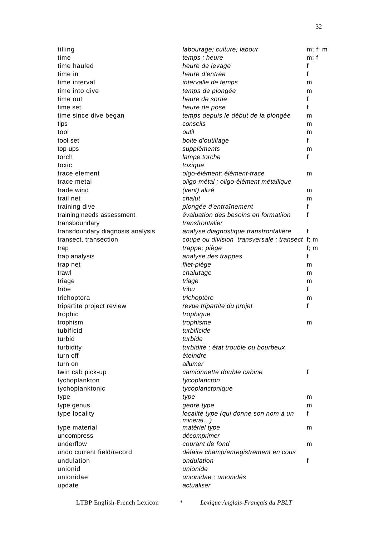| tilling                          | labourage; culture; labour                         | m; f; m |
|----------------------------------|----------------------------------------------------|---------|
| time                             | temps; heure                                       | m; f    |
| time hauled                      | heure de levage                                    | f       |
| time in                          | heure d'entrée                                     | f       |
| time interval                    | intervalle de temps                                | m       |
| time into dive                   | temps de plongée                                   | m       |
| time out                         | heure de sortie                                    | f       |
| time set                         | heure de pose                                      | f       |
| time since dive began            | temps depuis le début de la plongée                | m       |
| tips                             | conseils                                           | m       |
| tool                             | outil                                              | m       |
| tool set                         | boite d'outillage                                  | f       |
| top-ups                          | suppléments                                        | m       |
| torch                            | lampe torche                                       | f       |
| toxic                            | toxique                                            |         |
| trace element                    | olgo-élément; élément-trace                        | m       |
| trace metal                      | oligo-métal ; oligo-élément métallique             |         |
| trade wind                       | (vent) alizé                                       | m       |
| trail net                        | chalut                                             | m       |
| training dive                    | plongée d'entraînement                             | f       |
| training needs assessment        | évaluation des besoins en formatiion               | f       |
| transboundary                    | transfrontalier                                    |         |
| transdoundary diagnosis analysis | analyse diagnostique transfrontalière              | f       |
| transect, transection            | coupe ou division transversale; transect f; m      |         |
| trap                             | trappe; piège                                      | f; $m$  |
| trap analysis                    | analyse des trappes                                | f       |
| trap net                         | filet-piège                                        | m       |
| trawl                            | chalutage                                          | m       |
| triage                           | triage                                             | m       |
| tribe                            | tribu                                              | f       |
| trichoptera                      | trichoptère                                        | m       |
| tripartite project review        | revue tripartite du projet                         | f       |
|                                  | trophique                                          |         |
| trophic                          | trophisme                                          |         |
| trophism<br>tubificid            | turbificide                                        | m       |
|                                  |                                                    |         |
| turbid                           | turbide                                            |         |
| turbidity                        | turbidité ; état trouble ou bourbeux               |         |
| turn off                         | éteindre                                           |         |
| turn on                          | allumer                                            |         |
| twin cab pick-up                 | camionnette double cabine                          | f       |
| tychoplankton                    | tycoplancton                                       |         |
| tychoplanktonic                  | tycoplanctonique                                   |         |
| type                             | type                                               | m       |
| type genus                       | genre type                                         | m       |
| type locality                    | localité type (qui donne son nom à un              | f       |
| type material                    | minerai)<br>matériel type                          | m       |
| uncompress                       | décomprimer                                        |         |
| underflow                        | courant de fond                                    | m       |
| undo current field/record        |                                                    |         |
| undulation                       | défaire champ/enregistrement en cous<br>ondulation | f       |
| unionid                          | unionide                                           |         |
|                                  |                                                    |         |
| unionidae                        | unionidae ; unionidés<br>actualiser                |         |
| update                           |                                                    |         |
|                                  |                                                    |         |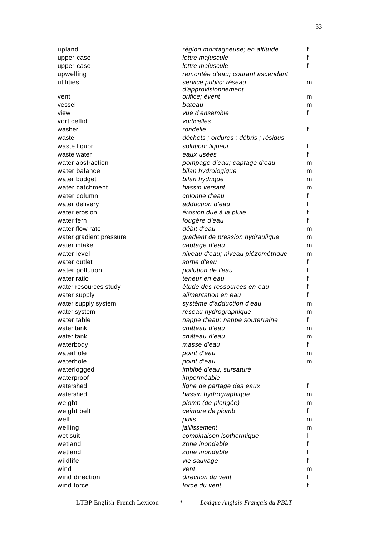| upland                      | région montagneuse; en altitude                 | f            |
|-----------------------------|-------------------------------------------------|--------------|
| upper-case                  | lettre majuscule                                | f            |
| upper-case                  | lettre majuscule                                | f            |
| upwelling                   | remontée d'eau; courant ascendant               |              |
| utilities                   | service public; réseau                          | m            |
|                             | d'approvisionnement                             |              |
| vent                        | orifice; évent                                  | m            |
| vessel                      | bateau                                          | m            |
| view                        | vue d'ensemble                                  | f            |
| vorticellid                 | vorticelles                                     |              |
| washer                      | rondelle                                        | $\mathsf{f}$ |
| waste                       | déchets ; ordures ; débris ; résidus            |              |
| waste liquor                | solution; liqueur                               | $\mathsf{f}$ |
| waste water                 | eaux usées                                      | $\mathsf{f}$ |
| water abstraction           | pompage d'eau; captage d'eau                    | m            |
| water balance               | bilan hydrologique                              | m            |
| water budget                | bilan hydrique                                  | m            |
| water catchment             | bassin versant                                  | m            |
| water column                | colonne d'eau                                   | f            |
| water delivery              | adduction d'eau                                 | f            |
| water erosion               | érosion due à la pluie                          | $\mathsf{f}$ |
| water fern                  | fougère d'eau                                   | f            |
| water flow rate             | débit d'eau                                     | m            |
| water gradient pressure     | gradient de pression hydraulique                | m            |
| water intake                | captage d'eau                                   | m            |
| water level                 | niveau d'eau; niveau piézométrique              | m            |
| water outlet                | sortie d'eau                                    | $\mathsf{f}$ |
| water pollution             | pollution de l'eau                              | f            |
| water ratio                 | teneur en eau                                   | f            |
| water resources study       | étude des ressources en eau                     | f            |
|                             | alimentation en eau                             | f            |
| water supply                | système d'adduction d'eau                       |              |
| water supply system         | réseau hydrographique                           | m            |
| water system<br>water table |                                                 | m<br>f       |
| water tank                  | nappe d'eau; nappe souterraine<br>château d'eau |              |
|                             | château d'eau                                   | m            |
| water tank                  |                                                 | m<br>f       |
| waterbody                   | masse d'eau                                     |              |
| waterhole                   | point d'eau                                     | m            |
| waterhole                   | point d'eau                                     | m            |
| waterlogged                 | imbibé d'eau; sursaturé                         |              |
| waterproof                  | imperméable                                     |              |
| watershed                   | ligne de partage des eaux                       | $\mathsf{f}$ |
| watershed                   | bassin hydrographique                           | m            |
| weight                      | plomb (de plongée)                              | m            |
| weight belt                 | ceinture de plomb                               | f            |
| well                        | puits                                           | m            |
| welling                     | jaillissement                                   | m            |
| wet suit                    | combinaison isothermique                        | L            |
| wetland                     | zone inondable                                  | f            |
| wetland                     | zone inondable                                  | $\mathsf{f}$ |
| wildlife                    | vie sauvage                                     | f            |
| wind                        | vent                                            | m            |
| wind direction              | direction du vent                               | f            |
| wind force                  | force du vent                                   | f            |
|                             |                                                 |              |